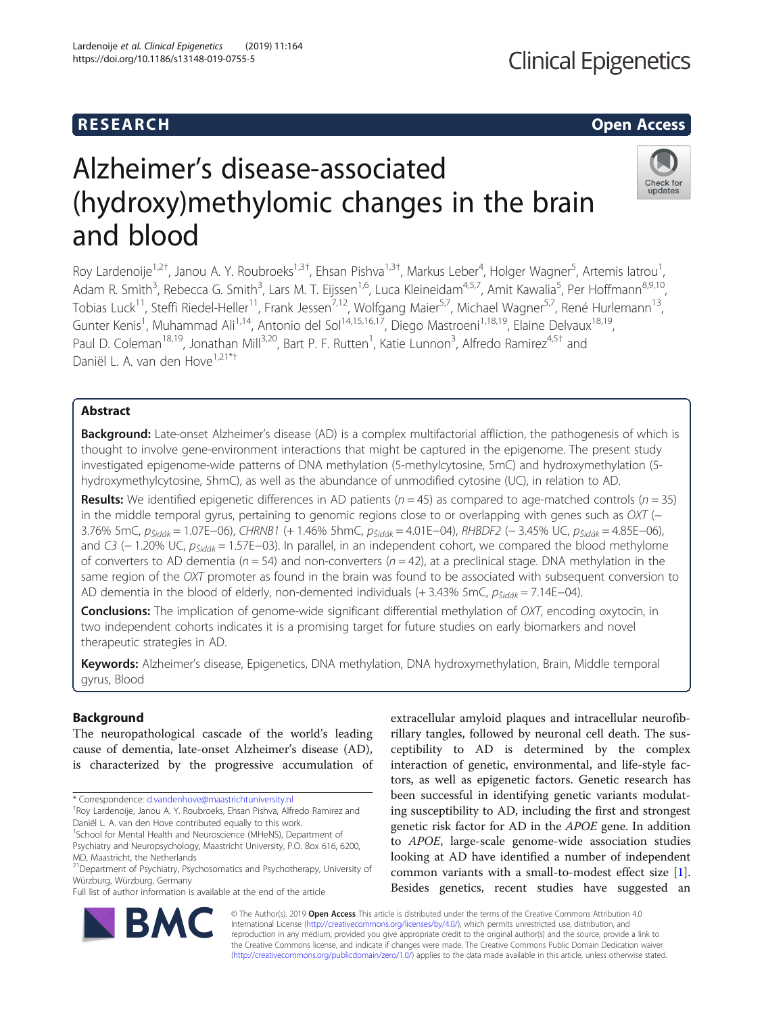# **RESEARCH CHILD CONTROL** CONTROL CONTROL CONTROL CONTROL CONTROL CONTROL CONTROL CONTROL CONTROL CONTROL CONTROL CONTROL CONTROL CONTROL CONTROL CONTROL CONTROL CONTROL CONTROL CONTROL CONTROL CONTROL CONTROL CONTROL CONTR

Check for updates

# Alzheimer's disease-associated (hydroxy)methylomic changes in the brain and blood

Roy Lardenoije<sup>1,2†</sup>, Janou A. Y. Roubroeks<sup>1,3†</sup>, Ehsan Pishva<sup>1,3†</sup>, Markus Leber<sup>4</sup>, Holger Wagner<sup>5</sup>, Artemis latrou<sup>1</sup> , Adam R. Smith<sup>3</sup>, Rebecca G. Smith<sup>3</sup>, Lars M. T. Eijssen<sup>1,6</sup>, Luca Kleineidam<sup>4,5,7</sup>, Amit Kawalia<sup>5</sup>, Per Hoffmann<sup>8,9,10</sup>, Tobias Luck<sup>11</sup>, Steffi Riedel-Heller<sup>11</sup>, Frank Jessen<sup>7,12</sup>, Wolfgang Maier<sup>5,7</sup>, Michael Wagner<sup>5,7</sup>, René Hurlemann<sup>13</sup>, Gunter Kenis<sup>1</sup>, Muhammad Ali<sup>1,14</sup>, Antonio del Sol<sup>14,15,16,17</sup>, Diego Mastroeni<sup>1,18,19</sup>, Elaine Delvaux<sup>18,19</sup>, Paul D. Coleman<sup>18,19</sup>, Jonathan Mill<sup>3,20</sup>, Bart P. F. Rutten<sup>1</sup>, Katie Lunnon<sup>3</sup>, Alfredo Ramirez<sup>4,5†</sup> and Daniël L. A. van den Hove<sup>1,21\*+</sup>

## Abstract

Background: Late-onset Alzheimer's disease (AD) is a complex multifactorial affliction, the pathogenesis of which is thought to involve gene-environment interactions that might be captured in the epigenome. The present study investigated epigenome-wide patterns of DNA methylation (5-methylcytosine, 5mC) and hydroxymethylation (5 hydroxymethylcytosine, 5hmC), as well as the abundance of unmodified cytosine (UC), in relation to AD.

**Results:** We identified epigenetic differences in AD patients ( $n = 45$ ) as compared to age-matched controls ( $n = 35$ ) in the middle temporal gyrus, pertaining to genomic regions close to or overlapping with genes such as OXT (− 3.76% 5mC, p<sub>Šidák</sub> = 1.07E−06), CHRNB1 (+ 1.46% 5hmC, p<sub>Šidák</sub> = 4.01E−04), RHBDF2 (− 3.45% UC, p<sub>Šidák</sub> = 4.85E−06), and C3 (− 1.20% UC,  $p_{\zeta idak}$  = 1.57E−03). In parallel, in an independent cohort, we compared the blood methylome of converters to AD dementia ( $n = 54$ ) and non-converters ( $n = 42$ ), at a preclinical stage. DNA methylation in the same region of the OXT promoter as found in the brain was found to be associated with subsequent conversion to AD dementia in the blood of elderly, non-demented individuals (+ 3.43% 5mC,  $p_{\text{Sidak}} = 7.14E-04$ ).

**Conclusions:** The implication of genome-wide significant differential methylation of OXT, encoding oxytocin, in two independent cohorts indicates it is a promising target for future studies on early biomarkers and novel therapeutic strategies in AD.

Keywords: Alzheimer's disease, Epigenetics, DNA methylation, DNA hydroxymethylation, Brain, Middle temporal gyrus, Blood

# Background

The neuropathological cascade of the world's leading cause of dementia, late-onset Alzheimer's disease (AD), is characterized by the progressive accumulation of

\* Correspondence: [d.vandenhove@maastrichtuniversity.nl](mailto:d.vandenhove@maastrichtuniversity.nl) †

<sup>+</sup>Roy Lardenoije, Janou A. Y. Roubroeks, Ehsan Pishva, Alfredo Ramirez and Daniël L. A. van den Hove contributed equally to this work.

Full list of author information is available at the end of the article

extracellular amyloid plaques and intracellular neurofibrillary tangles, followed by neuronal cell death. The susceptibility to AD is determined by the complex interaction of genetic, environmental, and life-style factors, as well as epigenetic factors. Genetic research has been successful in identifying genetic variants modulating susceptibility to AD, including the first and strongest genetic risk factor for AD in the APOE gene. In addition to APOE, large-scale genome-wide association studies looking at AD have identified a number of independent common variants with a small-to-modest effect size [\[1](#page-12-0)]. Besides genetics, recent studies have suggested an



© The Author(s). 2019 **Open Access** This article is distributed under the terms of the Creative Commons Attribution 4.0 International License [\(http://creativecommons.org/licenses/by/4.0/](http://creativecommons.org/licenses/by/4.0/)), which permits unrestricted use, distribution, and reproduction in any medium, provided you give appropriate credit to the original author(s) and the source, provide a link to the Creative Commons license, and indicate if changes were made. The Creative Commons Public Domain Dedication waiver [\(http://creativecommons.org/publicdomain/zero/1.0/](http://creativecommons.org/publicdomain/zero/1.0/)) applies to the data made available in this article, unless otherwise stated.

<sup>&</sup>lt;sup>1</sup>School for Mental Health and Neuroscience (MHeNS), Department of Psychiatry and Neuropsychology, Maastricht University, P.O. Box 616, 6200, MD, Maastricht, the Netherlands

<sup>&</sup>lt;sup>21</sup>Department of Psychiatry, Psychosomatics and Psychotherapy, University of Würzburg, Würzburg, Germany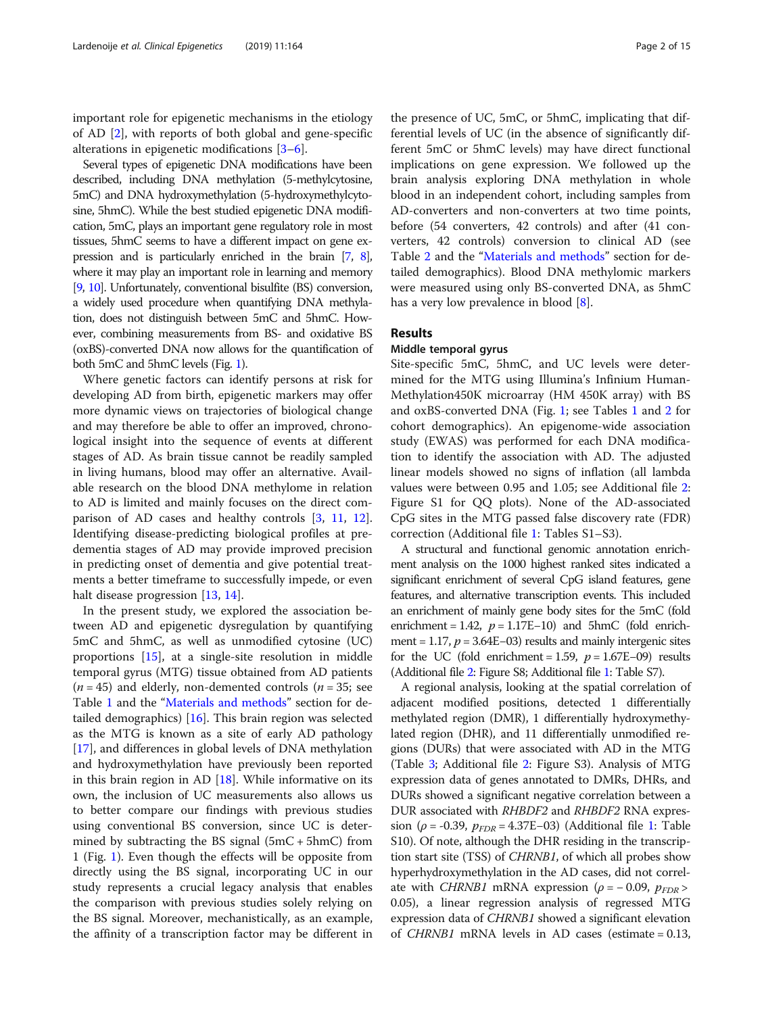important role for epigenetic mechanisms in the etiology of AD [\[2](#page-12-0)], with reports of both global and gene-specific alterations in epigenetic modifications [[3](#page-12-0)–[6\]](#page-12-0).

Several types of epigenetic DNA modifications have been described, including DNA methylation (5-methylcytosine, 5mC) and DNA hydroxymethylation (5-hydroxymethylcytosine, 5hmC). While the best studied epigenetic DNA modification, 5mC, plays an important gene regulatory role in most tissues, 5hmC seems to have a different impact on gene expression and is particularly enriched in the brain [\[7,](#page-12-0) [8\]](#page-12-0), where it may play an important role in learning and memory [[9](#page-12-0), [10](#page-12-0)]. Unfortunately, conventional bisulfite (BS) conversion, a widely used procedure when quantifying DNA methylation, does not distinguish between 5mC and 5hmC. However, combining measurements from BS- and oxidative BS (oxBS)-converted DNA now allows for the quantification of both 5mC and 5hmC levels (Fig. [1](#page-2-0)).

Where genetic factors can identify persons at risk for developing AD from birth, epigenetic markers may offer more dynamic views on trajectories of biological change and may therefore be able to offer an improved, chronological insight into the sequence of events at different stages of AD. As brain tissue cannot be readily sampled in living humans, blood may offer an alternative. Available research on the blood DNA methylome in relation to AD is limited and mainly focuses on the direct comparison of AD cases and healthy controls [\[3](#page-12-0), [11](#page-12-0), [12](#page-12-0)]. Identifying disease-predicting biological profiles at predementia stages of AD may provide improved precision in predicting onset of dementia and give potential treatments a better timeframe to successfully impede, or even halt disease progression [\[13,](#page-12-0) [14\]](#page-12-0).

In the present study, we explored the association between AD and epigenetic dysregulation by quantifying 5mC and 5hmC, as well as unmodified cytosine (UC) proportions [\[15](#page-12-0)], at a single-site resolution in middle temporal gyrus (MTG) tissue obtained from AD patients  $(n = 45)$  and elderly, non-demented controls  $(n = 35)$ ; see Table [1](#page-3-0) and the "[Materials and methods](#page-8-0)" section for detailed demographics) [\[16\]](#page-12-0). This brain region was selected as the MTG is known as a site of early AD pathology [[17\]](#page-12-0), and differences in global levels of DNA methylation and hydroxymethylation have previously been reported in this brain region in AD  $[18]$  $[18]$ . While informative on its own, the inclusion of UC measurements also allows us to better compare our findings with previous studies using conventional BS conversion, since UC is determined by subtracting the BS signal  $(5mC + 5hmC)$  from 1 (Fig. [1](#page-2-0)). Even though the effects will be opposite from directly using the BS signal, incorporating UC in our study represents a crucial legacy analysis that enables the comparison with previous studies solely relying on the BS signal. Moreover, mechanistically, as an example, the affinity of a transcription factor may be different in

the presence of UC, 5mC, or 5hmC, implicating that differential levels of UC (in the absence of significantly different 5mC or 5hmC levels) may have direct functional implications on gene expression. We followed up the brain analysis exploring DNA methylation in whole blood in an independent cohort, including samples from AD-converters and non-converters at two time points, before (54 converters, 42 controls) and after (41 converters, 42 controls) conversion to clinical AD (see Table [2](#page-3-0) and the "[Materials and methods](#page-8-0)" section for detailed demographics). Blood DNA methylomic markers were measured using only BS-converted DNA, as 5hmC has a very low prevalence in blood [\[8](#page-12-0)].

#### Results

### Middle temporal gyrus

Site-specific 5mC, 5hmC, and UC levels were determined for the MTG using Illumina's Infinium Human-Methylation450K microarray (HM 450K array) with BS and oxBS-converted DNA (Fig. [1](#page-2-0); see Tables [1](#page-3-0) and [2](#page-3-0) for cohort demographics). An epigenome-wide association study (EWAS) was performed for each DNA modification to identify the association with AD. The adjusted linear models showed no signs of inflation (all lambda values were between 0.95 and 1.05; see Additional file [2](#page-11-0): Figure S1 for QQ plots). None of the AD-associated CpG sites in the MTG passed false discovery rate (FDR) correction (Additional file [1](#page-11-0): Tables S1–S3).

A structural and functional genomic annotation enrichment analysis on the 1000 highest ranked sites indicated a significant enrichment of several CpG island features, gene features, and alternative transcription events. This included an enrichment of mainly gene body sites for the 5mC (fold enrichment = 1.42,  $p = 1.17E-10$ ) and 5hmC (fold enrichment = 1.17,  $p = 3.64E-03$ ) results and mainly intergenic sites for the UC (fold enrichment = 1.59,  $p = 1.67E-09$ ) results (Additional file [2:](#page-11-0) Figure S8; Additional file [1](#page-11-0): Table S7).

A regional analysis, looking at the spatial correlation of adjacent modified positions, detected 1 differentially methylated region (DMR), 1 differentially hydroxymethylated region (DHR), and 11 differentially unmodified regions (DURs) that were associated with AD in the MTG (Table [3](#page-4-0); Additional file [2](#page-11-0): Figure S3). Analysis of MTG expression data of genes annotated to DMRs, DHRs, and DURs showed a significant negative correlation between a DUR associated with RHBDF2 and RHBDF2 RNA expression ( $\rho$  = -0.39,  $p_{FDR}$  = 4.37E–03) (Additional file [1](#page-11-0): Table S10). Of note, although the DHR residing in the transcription start site (TSS) of CHRNB1, of which all probes show hyperhydroxymethylation in the AD cases, did not correlate with *CHRNB1* mRNA expression ( $\rho = -0.09$ ,  $p_{FDR}$ 0.05), a linear regression analysis of regressed MTG expression data of CHRNB1 showed a significant elevation of CHRNB1 mRNA levels in AD cases (estimate = 0.13,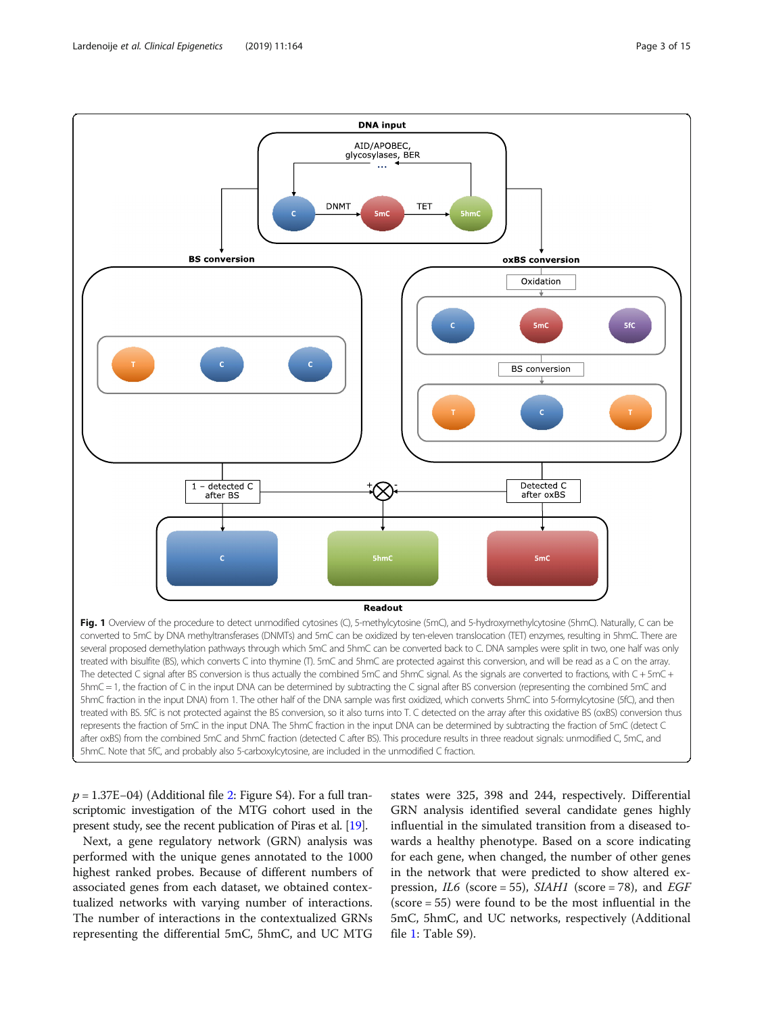<span id="page-2-0"></span>

p = 1.37E−04) (Additional file [2](#page-11-0): Figure S4). For a full transcriptomic investigation of the MTG cohort used in the present study, see the recent publication of Piras et al. [\[19\]](#page-12-0).

Next, a gene regulatory network (GRN) analysis was performed with the unique genes annotated to the 1000 highest ranked probes. Because of different numbers of associated genes from each dataset, we obtained contextualized networks with varying number of interactions. The number of interactions in the contextualized GRNs representing the differential 5mC, 5hmC, and UC MTG

states were 325, 398 and 244, respectively. Differential GRN analysis identified several candidate genes highly influential in the simulated transition from a diseased towards a healthy phenotype. Based on a score indicating for each gene, when changed, the number of other genes in the network that were predicted to show altered expression, *IL6* (score = 55), *SIAH1* (score = 78), and *EGF* (score = 55) were found to be the most influential in the 5mC, 5hmC, and UC networks, respectively (Additional file [1:](#page-11-0) Table S9).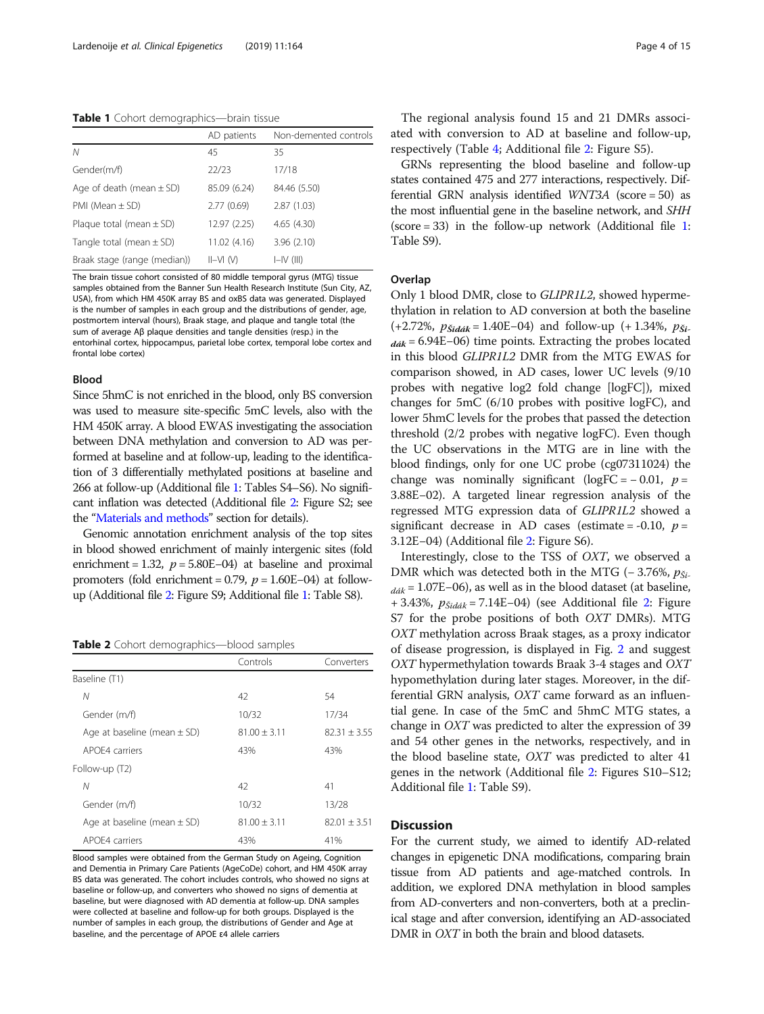<span id="page-3-0"></span>Table 1 Cohort demographics-brain tissue

|                              | AD patients  | Non-demented controls |
|------------------------------|--------------|-----------------------|
| N                            | 45           | 35                    |
| Gender(m/f)                  | 22/23        | 17/18                 |
| Age of death (mean $\pm$ SD) | 85.09 (6.24) | 84.46 (5.50)          |
| PMI (Mean $\pm$ SD)          | 2.77(0.69)   | 2.87(1.03)            |
| Plaque total (mean $\pm$ SD) | 12.97 (2.25) | 4.65 (4.30)           |
| Tangle total (mean $\pm$ SD) | 11.02 (4.16) | 3.96(2.10)            |
| Braak stage (range (median)) | $II-NI$ (V)  | $I=IV$ (III)          |

The brain tissue cohort consisted of 80 middle temporal gyrus (MTG) tissue samples obtained from the Banner Sun Health Research Institute (Sun City, AZ, USA), from which HM 450K array BS and oxBS data was generated. Displayed is the number of samples in each group and the distributions of gender, age, postmortem interval (hours), Braak stage, and plaque and tangle total (the sum of average Aβ plaque densities and tangle densities (resp.) in the entorhinal cortex, hippocampus, parietal lobe cortex, temporal lobe cortex and frontal lobe cortex)

#### Blood

Since 5hmC is not enriched in the blood, only BS conversion was used to measure site-specific 5mC levels, also with the HM 450K array. A blood EWAS investigating the association between DNA methylation and conversion to AD was performed at baseline and at follow-up, leading to the identification of 3 differentially methylated positions at baseline and 266 at follow-up (Additional file [1](#page-11-0): Tables S4–S6). No significant inflation was detected (Additional file [2:](#page-11-0) Figure S2; see the "[Materials and methods](#page-8-0)" section for details).

Genomic annotation enrichment analysis of the top sites in blood showed enrichment of mainly intergenic sites (fold enrichment = 1.32,  $p = 5.80E-04$ ) at baseline and proximal promoters (fold enrichment = 0.79,  $p = 1.60E-04$ ) at followup (Additional file [2:](#page-11-0) Figure S9; Additional file [1:](#page-11-0) Table S8).

Table 2 Cohort demographics-blood samples

|                                 | Controls         | Converters     |
|---------------------------------|------------------|----------------|
| Baseline (T1)                   |                  |                |
| Ν                               | 42               | 54             |
| Gender (m/f)                    | 10/32            | 17/34          |
| Age at baseline (mean $\pm$ SD) | $81.00 \pm 3.11$ | $82.31 + 3.55$ |
| APOF4 carriers                  | 43%              | 43%            |
| Follow-up (T2)                  |                  |                |
| Ν                               | 42               | 41             |
| Gender (m/f)                    | 10/32            | 13/28          |
| Age at baseline (mean $\pm$ SD) | $81.00 + 3.11$   | $82.01 + 3.51$ |
| APOF4 carriers                  | 43%              | 41%            |

Blood samples were obtained from the German Study on Ageing, Cognition and Dementia in Primary Care Patients (AgeCoDe) cohort, and HM 450K array BS data was generated. The cohort includes controls, who showed no signs at baseline or follow-up, and converters who showed no signs of dementia at baseline, but were diagnosed with AD dementia at follow-up. DNA samples were collected at baseline and follow-up for both groups. Displayed is the number of samples in each group, the distributions of Gender and Age at baseline, and the percentage of APOE ɛ4 allele carriers

The regional analysis found 15 and 21 DMRs associated with conversion to AD at baseline and follow-up, respectively (Table [4](#page-5-0); Additional file [2:](#page-11-0) Figure S5).

GRNs representing the blood baseline and follow-up states contained 475 and 277 interactions, respectively. Differential GRN analysis identified WNT3A (score = 50) as the most influential gene in the baseline network, and SHH (score = 33) in the follow-up network (Additional file [1](#page-11-0): Table S9).

#### **Overlap**

Only 1 blood DMR, close to GLIPR1L2, showed hypermethylation in relation to AD conversion at both the baseline (+2.72%,  $p_{\tilde{S}i d\tilde{a}k} = 1.40E-04$ ) and follow-up (+1.34%,  $p_{\tilde{S}i}$  $ddk = 6.94E-06$ ) time points. Extracting the probes located in this blood GLIPR1L2 DMR from the MTG EWAS for comparison showed, in AD cases, lower UC levels (9/10 probes with negative log2 fold change [logFC]), mixed changes for 5mC (6/10 probes with positive logFC), and lower 5hmC levels for the probes that passed the detection threshold (2/2 probes with negative logFC). Even though the UC observations in the MTG are in line with the blood findings, only for one UC probe (cg07311024) the change was nominally significant (logFC =  $-0.01$ ,  $p =$ 3.88E−02). A targeted linear regression analysis of the regressed MTG expression data of GLIPR1L2 showed a significant decrease in AD cases (estimate =  $-0.10$ ,  $p =$ 3.12E−04) (Additional file [2](#page-11-0): Figure S6).

Interestingly, close to the TSS of OXT, we observed a DMR which was detected both in the MTG (− 3.76%,  $p_{\tilde{S}i-}$  $d\hat{a}k = 1.07E-06$ ), as well as in the blood dataset (at baseline, + 3.43%,  $p_{\text{Sidak}}$  = 7.14E–04) (see Additional file [2:](#page-11-0) Figure S7 for the probe positions of both OXT DMRs). MTG OXT methylation across Braak stages, as a proxy indicator of disease progression, is displayed in Fig. [2](#page-7-0) and suggest OXT hypermethylation towards Braak 3-4 stages and OXT hypomethylation during later stages. Moreover, in the differential GRN analysis, OXT came forward as an influential gene. In case of the 5mC and 5hmC MTG states, a change in OXT was predicted to alter the expression of 39 and 54 other genes in the networks, respectively, and in the blood baseline state, OXT was predicted to alter 41 genes in the network (Additional file [2](#page-11-0): Figures S10–S12; Additional file [1](#page-11-0): Table S9).

#### **Discussion**

For the current study, we aimed to identify AD-related changes in epigenetic DNA modifications, comparing brain tissue from AD patients and age-matched controls. In addition, we explored DNA methylation in blood samples from AD-converters and non-converters, both at a preclinical stage and after conversion, identifying an AD-associated DMR in *OXT* in both the brain and blood datasets.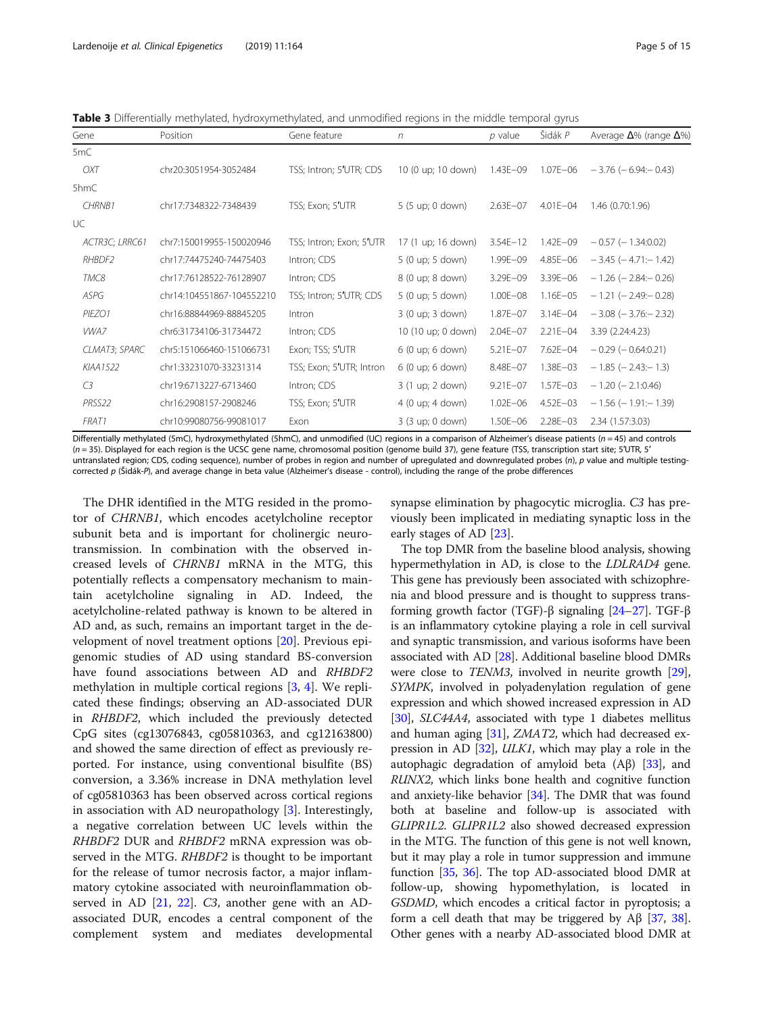<span id="page-4-0"></span>Table 3 Differentially methylated, hydroxymethylated, and unmodified regions in the middle temporal gyrus

| Gene           | Position                  | Gene feature             | n                  | $p$ value    | Šidák P      | Average $\Delta\%$ (range $\Delta\%$ ) |
|----------------|---------------------------|--------------------------|--------------------|--------------|--------------|----------------------------------------|
| 5mC            |                           |                          |                    |              |              |                                        |
| OXT            | chr20:3051954-3052484     | TSS; Intron; 5'UTR; CDS  | 10 (0 up; 10 down) | 1.43E-09     | 1.07E-06     | $-3.76$ ( $-6.94$ : $-0.43$ )          |
| 5hmC           |                           |                          |                    |              |              |                                        |
| <b>CHRNB1</b>  | chr17:7348322-7348439     | TSS; Exon; 5'UTR         | 5 (5 up; 0 down)   | $2.63E - 07$ | $4.01E - 04$ | 1.46 (0.70:1.96)                       |
| UC             |                           |                          |                    |              |              |                                        |
| ACTR3C; LRRC61 | chr7:150019955-150020946  | TSS; Intron; Exon; 5'UTR | 17 (1 up; 16 down) | $3.54E - 12$ | $1.42E - 09$ | $-0.57$ ( $-1.34:0.02$ )               |
| RHBDF2         | chr17:74475240-74475403   | Intron; CDS              | 5 (0 up; 5 down)   | 1.99E-09     | $4.85E - 06$ | $-3.45$ ( $-4.71$ : $-1.42$ )          |
| TMC8           | chr17:76128522-76128907   | Intron; CDS              | 8 (0 up; 8 down)   | 3.29E-09     | $3.39E - 06$ | $-1.26$ ( $-2.84$ : $-0.26$ )          |
| ASPG           | chr14:104551867-104552210 | TSS; Intron; 5'UTR; CDS  | 5 (0 up; 5 down)   | 1.00E-08     | $1.16E - 05$ | $-1.21$ ( $-2.49$ : $-0.28$ )          |
| PIEZO1         | chr16:88844969-88845205   | Intron                   | 3 (0 up; 3 down)   | 1.87E-07     | $3.14E - 04$ | $-3.08$ ( $-3.76$ : $-2.32$ )          |
| VWA7           | chr6:31734106-31734472    | Intron; CDS              | 10 (10 up; 0 down) | $2.04E - 07$ | $2.21E - 04$ | 3.39 (2.24:4.23)                       |
| CLMAT3; SPARC  | chr5:151066460-151066731  | Exon; TSS; 5'UTR         | 6 (0 up; 6 down)   | $5.21E - 07$ | $7.62E - 04$ | $-0.29$ ( $-0.64:0.21$ )               |
| KIAA1522       | chr1:33231070-33231314    | TSS; Exon; 5'UTR; Intron | 6 (0 up; 6 down)   | 8.48E-07     | $1.38E - 03$ | $-1.85$ ( $-2.43$ : $-1.3$ )           |
| C <sub>3</sub> | chr19:6713227-6713460     | Intron; CDS              | 3 (1 up; 2 down)   | $9.21E - 07$ | $1.57E - 03$ | $-1.20$ ( $-2.1:0.46$ )                |
| PRSS22         | chr16:2908157-2908246     | TSS; Exon; 5'UTR         | 4 (0 up; 4 down)   | $1.02E - 06$ | $4.52E - 03$ | $-1.56$ ( $-1.91$ : $-1.39$ )          |
| FRAT1          | chr10:99080756-99081017   | Exon                     | 3 (3 up; 0 down)   | 1.50E-06     | $2.28E - 03$ | 2.34 (1.57:3.03)                       |

Differentially methylated (5mC), hydroxymethylated (5hmC), and unmodified (UC) regions in a comparison of Alzheimer's disease patients (n = 45) and controls (n = 35). Displayed for each region is the UCSC gene name, chromosomal position (genome build 37), gene feature (TSS, transcription start site; 5′UTR, 5′ untranslated region; CDS, coding sequence), number of probes in region and number of upregulated and downregulated probes (n), p value and multiple testingcorrected p (Šidák-P), and average change in beta value (Alzheimer's disease - control), including the range of the probe differences

The DHR identified in the MTG resided in the promotor of CHRNB1, which encodes acetylcholine receptor subunit beta and is important for cholinergic neurotransmission. In combination with the observed increased levels of CHRNB1 mRNA in the MTG, this potentially reflects a compensatory mechanism to maintain acetylcholine signaling in AD. Indeed, the acetylcholine-related pathway is known to be altered in AD and, as such, remains an important target in the development of novel treatment options [[20](#page-13-0)]. Previous epigenomic studies of AD using standard BS-conversion have found associations between AD and RHBDF2 methylation in multiple cortical regions [[3,](#page-12-0) [4](#page-12-0)]. We replicated these findings; observing an AD-associated DUR in RHBDF2, which included the previously detected CpG sites (cg13076843, cg05810363, and cg12163800) and showed the same direction of effect as previously reported. For instance, using conventional bisulfite (BS) conversion, a 3.36% increase in DNA methylation level of cg05810363 has been observed across cortical regions in association with AD neuropathology [\[3](#page-12-0)]. Interestingly, a negative correlation between UC levels within the RHBDF2 DUR and RHBDF2 mRNA expression was observed in the MTG. RHBDF2 is thought to be important for the release of tumor necrosis factor, a major inflammatory cytokine associated with neuroinflammation observed in AD [[21,](#page-13-0) [22](#page-13-0)]. C3, another gene with an ADassociated DUR, encodes a central component of the complement system and mediates developmental synapse elimination by phagocytic microglia. C3 has previously been implicated in mediating synaptic loss in the early stages of AD [\[23](#page-13-0)].

The top DMR from the baseline blood analysis, showing hypermethylation in AD, is close to the LDLRAD4 gene. This gene has previously been associated with schizophrenia and blood pressure and is thought to suppress transforming growth factor (TGF)-β signaling [[24](#page-13-0)–[27\]](#page-13-0). TGF-β is an inflammatory cytokine playing a role in cell survival and synaptic transmission, and various isoforms have been associated with AD [[28](#page-13-0)]. Additional baseline blood DMRs were close to TENM3, involved in neurite growth [[29](#page-13-0)], SYMPK, involved in polyadenylation regulation of gene expression and which showed increased expression in AD [[30](#page-13-0)], SLC44A4, associated with type 1 diabetes mellitus and human aging  $[31]$ , ZMAT2, which had decreased expression in AD [\[32\]](#page-13-0), ULK1, which may play a role in the autophagic degradation of amyloid beta  $(Aβ)$  [[33](#page-13-0)], and RUNX2, which links bone health and cognitive function and anxiety-like behavior [[34](#page-13-0)]. The DMR that was found both at baseline and follow-up is associated with GLIPR1L2. GLIPR1L2 also showed decreased expression in the MTG. The function of this gene is not well known, but it may play a role in tumor suppression and immune function [\[35,](#page-13-0) [36\]](#page-13-0). The top AD-associated blood DMR at follow-up, showing hypomethylation, is located in GSDMD, which encodes a critical factor in pyroptosis; a form a cell death that may be triggered by Aβ [[37](#page-13-0), [38](#page-13-0)]. Other genes with a nearby AD-associated blood DMR at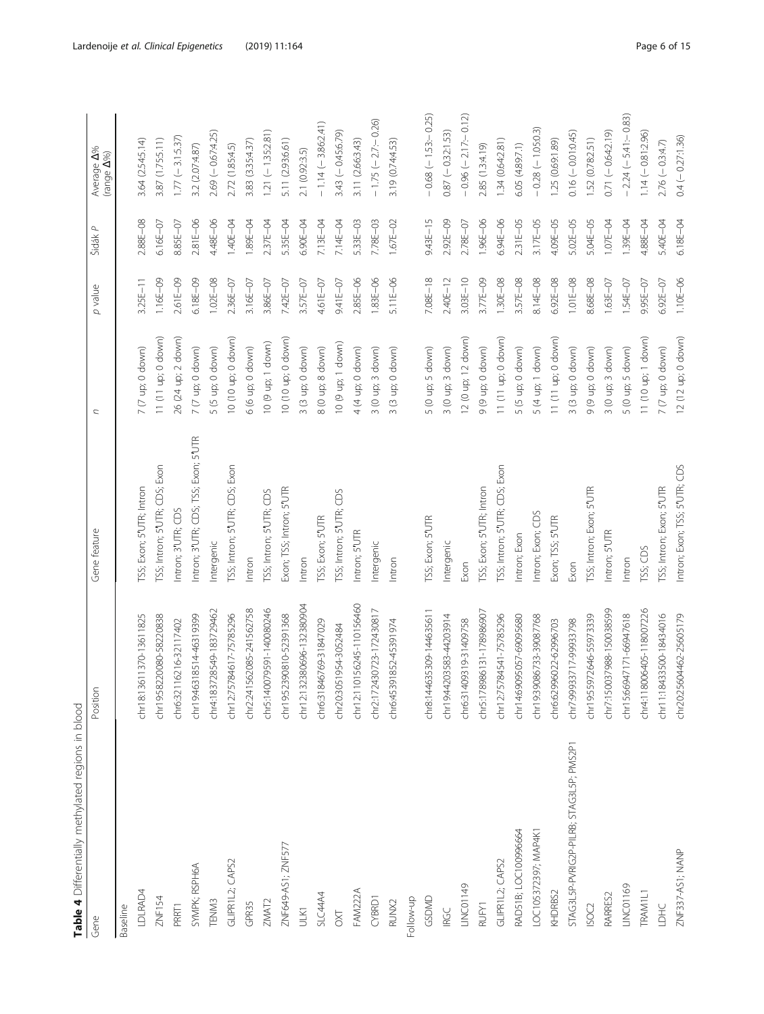<span id="page-5-0"></span>

| Gene                                     | Position                      | Gene feature                         | $\overline{\phantom{a}}$          | p value      | Šidák P      | Average <b>A%</b><br>(range <b>A%</b> ) |
|------------------------------------------|-------------------------------|--------------------------------------|-----------------------------------|--------------|--------------|-----------------------------------------|
| Baseline                                 |                               |                                      |                                   |              |              |                                         |
| LDLRAD4                                  | chr18:13611370-13611825       | TSS; Exon; 5'UTR; Intron             | $7(7 \text{ up}; 0 \text{ down})$ | $3.25E - 11$ | 2.88E-08     | 3.64 (2.54:5.14)                        |
| ZNF154                                   | chr19:58220080-58220838       | TSS; Intron; 5'UTR; CDS; Exon        | 11 (11 up; 0 down)                | 1.16E-09     | $6.16E - 07$ | 3.87 (1.75:5.11)                        |
| PRRT1                                    | chr6:32116216-32117402        | Intron; 3'UTR; CDS                   | 26 (24 up; 2 down)                | 2.61 E-09    | 8.85E-07     | $1.77 (-3.1:5.37)$                      |
| SYMPK; RSPH6A                            | 6318514-46319399<br>chr19:46  | Intron; 3'UTR; CDS; TSS; Exon; 5'UTR | $7(7 \text{ up}; 0 \text{ down})$ | $6.18E - 09$ | 2.81E-06     | 3.2 (2.07:4.87)                         |
| TENM3                                    | chr4:183728549-183729462      | ntergenic                            | 5 (5 up; 0 down)                  | $1.02E - 08$ | 4.48E-06     | $2.69(-0.67:4.25)$                      |
| GLIPR1L2; CAPS2                          | 5784617-75785296<br>chr12:75  | TSS; Intron; 5 UTR; CDS; Exon        | 10 (10 up; 0 down)                | 2.36E-07     | 1.40E-04     | 2.72 (1.85:4.5)                         |
| GPR35                                    | 1562085-241562758<br>chr2:24  | Intron                               | 6 (6 up; 0 down)                  | $3.16E - 07$ | 1.89E-04     | 3.83 (3.35:4.37)                        |
| ZMAT2                                    | chr5:140079591-140080246      | TSS; Intron; 5 <sup>*</sup> UTR; CDS | 10 (9 up; 1 down)                 | $3.86E - 07$ | 2.37E-04     | $1.21(-1.35:2.81)$                      |
| ZNF649-AS1; ZNF577                       | chr19:52390810-52391368       | Exon; TSS; Intron; 5"UTR             | 10 (10 up; 0 down)                | 7.42E-07     | 5.35E-04     | 5.11 (2.93:6.61)                        |
| <b>ULK1</b>                              | 32380696-132380904<br>chr12:1 | Intron                               | 3 (3 up; 0 down)                  | 3.57E-07     | 6.90E-04     | 2.1 (0.92:3.5)                          |
| SLC44A4                                  | 846769-31847029<br>chr6:318   | TSS; Exon; 5'UTR                     | 8 (0 up; 8 down)                  | 4.61 E-07    | 7.13E-04     | $-1.14 (-3.86:2.41)$                    |
| $\overline{\Sigma}$                      | chr20:3051954-3052484         | TSS; Intron; 5 UTR; CDS              | 10 (9 up; 1 down)                 | 9.41 E-07    | 7.14E-04     | $3.43 (-0.45.6.79)$                     |
| FAM222A                                  | 10156245-110156460<br>chr2:1  | Intron; 5'UTR                        | 4 (4 up; 0 down)                  | $2.85E - 06$ | 5.33E-03     | 3.11 (2.66:3.43)                        |
| CYBRD1                                   | chr2:172430723-172430817      | Intergenic                           | $3(0 \nupp; 3 \ndown n)$          | 1.83E-06     | 7.78E-03     | $-1.75(-2.7-0.26)$                      |
| RUNX2                                    | chr6:45391852-45391974        | Intron                               | 3 (3 up; 0 down)                  | $5.11E - 06$ | $1.67E - 02$ | 3.19 (0.74:4.53)                        |
| Follow-up                                |                               |                                      |                                   |              |              |                                         |
| GSDMD                                    | chr8:144635309-144635611      | TSS; Exon; 5'UTR                     | 5 (0 up; 5 down)                  | $7.08E - 18$ | 943E-15      | $-0.68$ ( $-1.53 - 0.25$ )              |
| <b>IRGC</b>                              | chr19:44203583-44203914       | Intergenic                           | $3(0 \text{ up}; 3 \text{ down})$ | $2.40E - 12$ | 2.92E-09     | $0.87 (-0.32:1.53)$                     |
| LINC01149                                | 409319-31409758<br>chr6:31    | Exon                                 | 12 (0 up; 12 down)                | $3.03E - 10$ | 2.78E-07     | $-0.96$ $(-2.17 - 0.12)$                |
| <b>RUFYI</b>                             | chr5:178986131-178986907      | TSS; Exon; 5'UTR; Intron             | 9(9 up; 0 down)                   | 3.77E-09     | 1.96E-06     | 2.85 (1.3:4.19)                         |
| GLIPRI L2; CAPS2                         | chr12:75784541-75785296       | TSS; Intron; 5'UTR; CDS; Exon        | 11 (11 up; 0 down)                | 1.30E-08     | 6.94E-06     | 1.34(0.64:2.81)                         |
| RAD51B; LOC100996664                     | chr14:69095057-69095680       | Intron; Exon                         | 5 (5 up; 0 down)                  | 3.57E-08     | 2.31E-05     | 6.05 (4.89.7.1)                         |
| LOC105372397; MAP4K1                     | chr19:39086733-39087768       | Intron; Exon; CDS                    | 5 (4 up; 1 down)                  | 8.14E-08     | $3.17E - 05$ | $-0.28(-1.05:0.3)$                      |
| KHDRBS2                                  | chr6:62996022-62996703        | Exon; TSS; 5'UTR                     | 11 (11 up; 0 down)                | $6.92E - 08$ | 4.09E-05     | 1.25 (0.69:1.89)                        |
| STAG3L5P-PVRIG2P-PILRB; STAG3L5P; PMS2P1 | chr7:99933717-99933798        | Exon                                 | 3 (3 up; 0 down)                  | $1.01E - 08$ | 5.02E-05     | $0.16(-0.01:0.45)$                      |
| ISOC <sub>2</sub>                        | chr19:55972646-55973339       | TSS; Intron; Exon; 5'UTR             | (uwop 0 dp 6) 6                   | 8.68E-08     | 5.04E-05     | 1.52 (0.78:2.51)                        |
| RARRES2                                  | chr7:150037988-150038599      | Intron; 5'UTR                        | $3(0 \text{ up}; 3 \text{ down})$ | 1.63E-07     | 1.07E-04     | $0.71(-0.64:2.19)$                      |
| LINC01169                                | chr15:66947171-66947618       | Intron                               | 5 (0 up; 5 down)                  | 1.54E-07     | 1.39E-04     | $-2.24(-5.41-0.83)$                     |
| TRAM1L1                                  | chr4:118006405-118007226      | TSS; CDS                             | 11 (10 up; 1 down)                | 9.95E-07     | 4.88E-04     | $1.14 (-0.81.2.96)$                     |
| LDHC                                     | chr11:18433500-18434016       | TSS; Intron; Exon; 5'UTR             | 7 (7 up; 0 down)                  | 6.92E-07     | 5.40E-04     | $2.76(-0.3:4.7)$                        |
| ZNF337-AS1; NANP                         | chr20:25604462-25605179       | Intron; Exon; TSS; 5'UTR; CDS        | 12 (12 up; 0 down)                | 1.10E-06     | 6.18E-04     | $0.4 (-0.27:1.36)$                      |

Table 4 Differentially methylated regions in blood Table 4 Differentially methylated regions in blood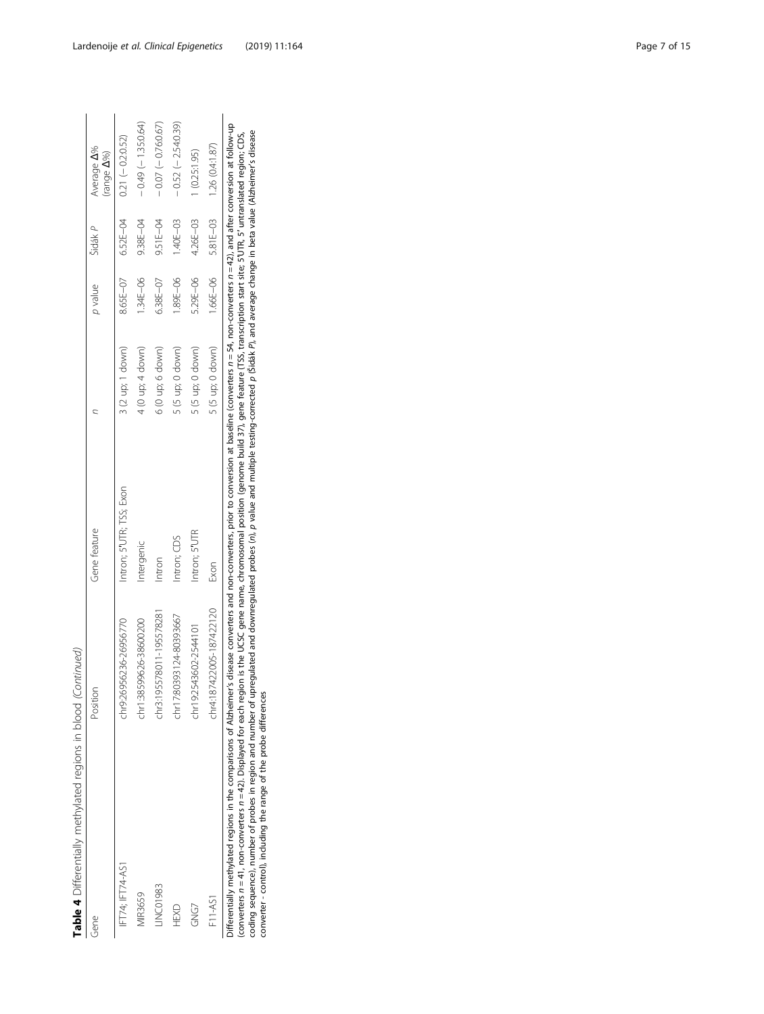Table 4 Differentially methylated regions in blood (Continued) **Table 4** Differentially methylated regions in blood (Continued)

| Gene                                                                                                                                                                                                                                                                                                                                                                                                                                                   | Position                 | Gene feature             |                                   | p value   | Šidák P  | Average A%<br>(range A%)        |
|--------------------------------------------------------------------------------------------------------------------------------------------------------------------------------------------------------------------------------------------------------------------------------------------------------------------------------------------------------------------------------------------------------------------------------------------------------|--------------------------|--------------------------|-----------------------------------|-----------|----------|---------------------------------|
| FT74; IFT74-AS'                                                                                                                                                                                                                                                                                                                                                                                                                                        | chr9:26956236-26956770   | Intron; 5'UTR; TSS; Exon | $3(2 \text{ up}; 1 \text{ down})$ | 8.65 E-07 |          | $6.52E - 04$ $0.21 (-0.2.0.52)$ |
| <b>MIR3659</b>                                                                                                                                                                                                                                                                                                                                                                                                                                         | chr1:38599626-38600200   | Intergenic               | $4(0 \text{ up}, 4 \text{ down})$ | 1.34E-06  | 9.38E-04 | $-0.49(-1.35:0.64)$             |
| INC01983                                                                                                                                                                                                                                                                                                                                                                                                                                               | chr3:195578011-19557828  | ntron                    | 6 (0 up; 6 down)                  | 6.38E-07  | 9.51E-04 | $-0.07(-0.760.67)$              |
| HEXD                                                                                                                                                                                                                                                                                                                                                                                                                                                   | chr17:80393124-80393667  | Intron; CDS              | $5(5 \text{ up}; 0 \text{ down})$ | 89E-06    | 1.40E-03 | $-0.52(-2.54:0.39)$             |
| GNG7                                                                                                                                                                                                                                                                                                                                                                                                                                                   | chr19:2543602-2544101    | Intron; 5'UTR            | 5 (5 up; 0 down)                  | 5.29E-06  | 4.26E-03 | 1 (0.25:1.95)                   |
| F11-AS1                                                                                                                                                                                                                                                                                                                                                                                                                                                | chr4:187422005-187422120 | Exon                     | $5(5 \text{ up}; 0 \text{ down})$ | 1.66E-06  |          | 5.81E-03 1.26 (0.4:1.87)        |
| Differentially methylated regions in the comparisons of Alzheimer's disease converters and non-converters, prior to conversion at baseline (converters n=54, non-converters n=42), and after conversion at follow-up<br>comment of the discribed from and the hot from the the comment of the comment of the comment of the discribed that in the interpretation of the intervals of the comment of the comment of the comment of the comment of the c |                          |                          |                                   |           |          |                                 |

(converters  $n=41$ , non-converters  $n=42$ ). Displayed for each region is the UCSC gene name, chromosomal position (genome build 37), gene feature (TSS, transcription start site; SUTR, S' untranslated region; CDS,<br>coding se coding sequence), number of probes in region and number of upregulated and downregulated probes (n), p value and multiple testing-corrected p (Šidák P), and average change in beta value (Alzheimer's disease (converters n = 41, non-converters n = 42). Displayed for each region is the UCSC gene name, chromosomal position (genome build 37), gene feature (TSS, transcription start site; 5′UTR, 5′ untranslated region; CDS, converter - control), including the range of the probe differences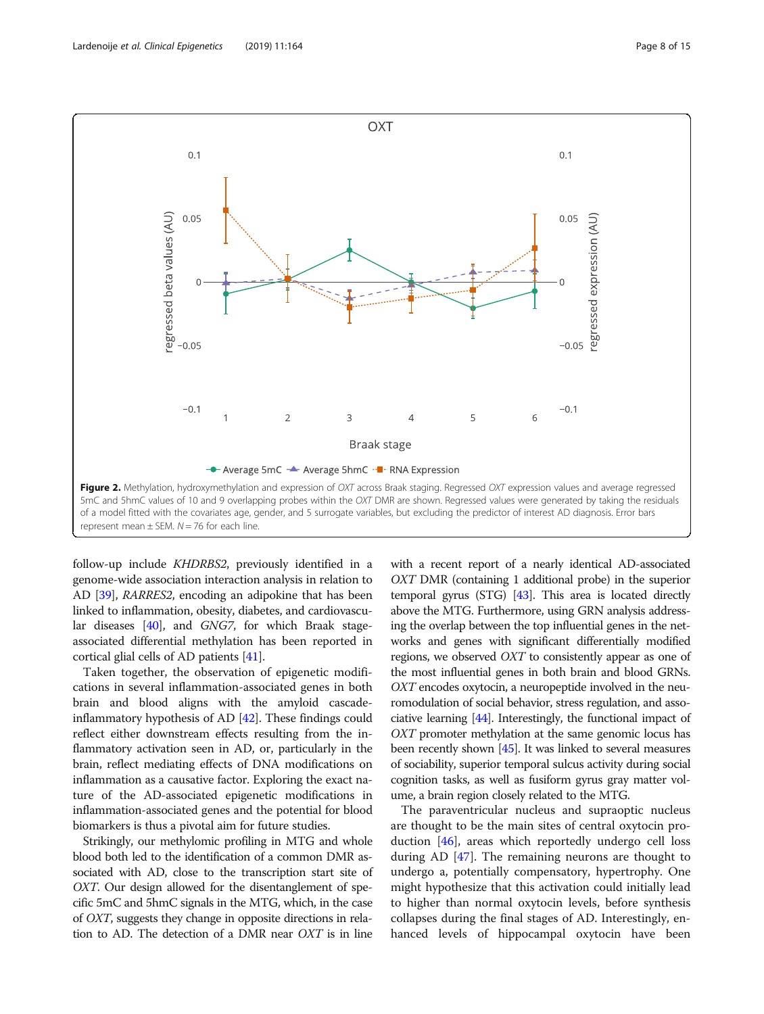<span id="page-7-0"></span>

follow-up include KHDRBS2, previously identified in a genome-wide association interaction analysis in relation to AD [\[39\]](#page-13-0), RARRES2, encoding an adipokine that has been linked to inflammation, obesity, diabetes, and cardiovascular diseases [\[40\]](#page-13-0), and GNG7, for which Braak stageassociated differential methylation has been reported in cortical glial cells of AD patients [[41](#page-13-0)].

Taken together, the observation of epigenetic modifications in several inflammation-associated genes in both brain and blood aligns with the amyloid cascadeinflammatory hypothesis of AD [\[42\]](#page-13-0). These findings could reflect either downstream effects resulting from the inflammatory activation seen in AD, or, particularly in the brain, reflect mediating effects of DNA modifications on inflammation as a causative factor. Exploring the exact nature of the AD-associated epigenetic modifications in inflammation-associated genes and the potential for blood biomarkers is thus a pivotal aim for future studies.

Strikingly, our methylomic profiling in MTG and whole blood both led to the identification of a common DMR associated with AD, close to the transcription start site of OXT. Our design allowed for the disentanglement of specific 5mC and 5hmC signals in the MTG, which, in the case of OXT, suggests they change in opposite directions in relation to AD. The detection of a DMR near OXT is in line

with a recent report of a nearly identical AD-associated OXT DMR (containing 1 additional probe) in the superior temporal gyrus (STG) [\[43](#page-13-0)]. This area is located directly above the MTG. Furthermore, using GRN analysis addressing the overlap between the top influential genes in the networks and genes with significant differentially modified regions, we observed OXT to consistently appear as one of the most influential genes in both brain and blood GRNs. OXT encodes oxytocin, a neuropeptide involved in the neuromodulation of social behavior, stress regulation, and associative learning [[44](#page-13-0)]. Interestingly, the functional impact of OXT promoter methylation at the same genomic locus has been recently shown [\[45\]](#page-13-0). It was linked to several measures of sociability, superior temporal sulcus activity during social cognition tasks, as well as fusiform gyrus gray matter volume, a brain region closely related to the MTG.

The paraventricular nucleus and supraoptic nucleus are thought to be the main sites of central oxytocin production [[46\]](#page-13-0), areas which reportedly undergo cell loss during AD [[47](#page-13-0)]. The remaining neurons are thought to undergo a, potentially compensatory, hypertrophy. One might hypothesize that this activation could initially lead to higher than normal oxytocin levels, before synthesis collapses during the final stages of AD. Interestingly, enhanced levels of hippocampal oxytocin have been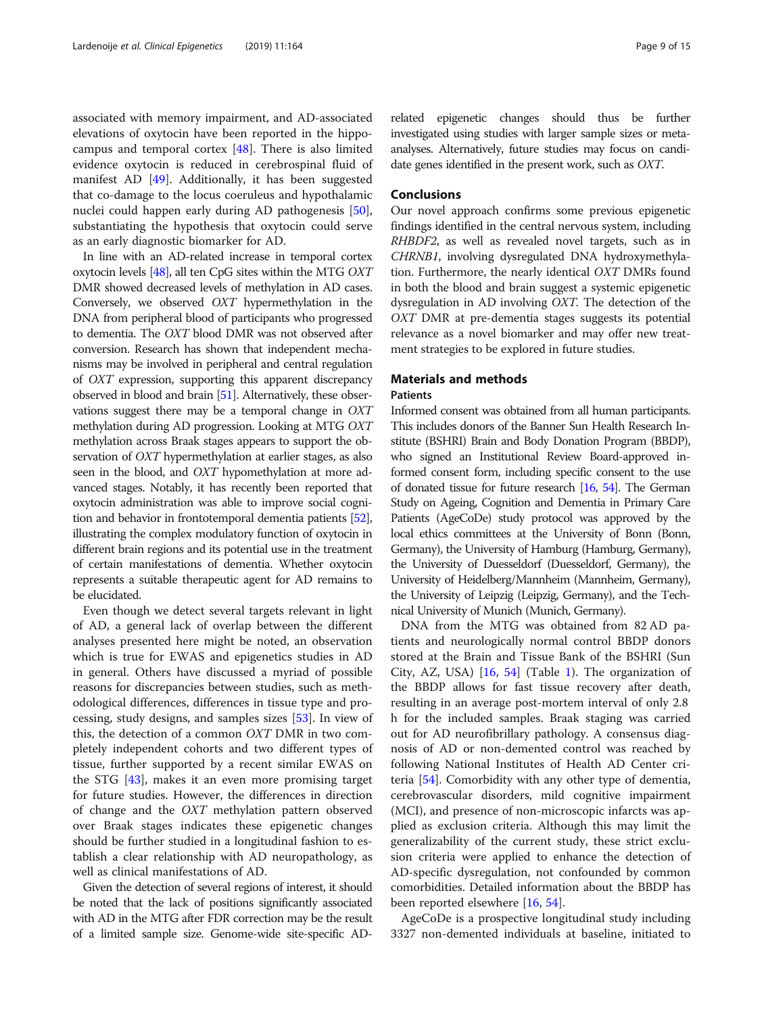<span id="page-8-0"></span>associated with memory impairment, and AD-associated elevations of oxytocin have been reported in the hippocampus and temporal cortex [\[48](#page-13-0)]. There is also limited evidence oxytocin is reduced in cerebrospinal fluid of manifest AD [\[49\]](#page-13-0). Additionally, it has been suggested that co-damage to the locus coeruleus and hypothalamic nuclei could happen early during AD pathogenesis [\[50](#page-13-0)], substantiating the hypothesis that oxytocin could serve as an early diagnostic biomarker for AD.

In line with an AD-related increase in temporal cortex oxytocin levels [[48\]](#page-13-0), all ten CpG sites within the MTG OXT DMR showed decreased levels of methylation in AD cases. Conversely, we observed OXT hypermethylation in the DNA from peripheral blood of participants who progressed to dementia. The OXT blood DMR was not observed after conversion. Research has shown that independent mechanisms may be involved in peripheral and central regulation of OXT expression, supporting this apparent discrepancy observed in blood and brain [\[51](#page-13-0)]. Alternatively, these observations suggest there may be a temporal change in OXT methylation during AD progression. Looking at MTG OXT methylation across Braak stages appears to support the observation of OXT hypermethylation at earlier stages, as also seen in the blood, and OXT hypomethylation at more advanced stages. Notably, it has recently been reported that oxytocin administration was able to improve social cognition and behavior in frontotemporal dementia patients [\[52](#page-13-0)], illustrating the complex modulatory function of oxytocin in different brain regions and its potential use in the treatment of certain manifestations of dementia. Whether oxytocin represents a suitable therapeutic agent for AD remains to be elucidated.

Even though we detect several targets relevant in light of AD, a general lack of overlap between the different analyses presented here might be noted, an observation which is true for EWAS and epigenetics studies in AD in general. Others have discussed a myriad of possible reasons for discrepancies between studies, such as methodological differences, differences in tissue type and processing, study designs, and samples sizes [[53](#page-13-0)]. In view of this, the detection of a common OXT DMR in two completely independent cohorts and two different types of tissue, further supported by a recent similar EWAS on the STG [[43\]](#page-13-0), makes it an even more promising target for future studies. However, the differences in direction of change and the OXT methylation pattern observed over Braak stages indicates these epigenetic changes should be further studied in a longitudinal fashion to establish a clear relationship with AD neuropathology, as well as clinical manifestations of AD.

Given the detection of several regions of interest, it should be noted that the lack of positions significantly associated with AD in the MTG after FDR correction may be the result of a limited sample size. Genome-wide site-specific AD-

related epigenetic changes should thus be further investigated using studies with larger sample sizes or metaanalyses. Alternatively, future studies may focus on candidate genes identified in the present work, such as OXT.

#### **Conclusions**

Our novel approach confirms some previous epigenetic findings identified in the central nervous system, including RHBDF2, as well as revealed novel targets, such as in CHRNB1, involving dysregulated DNA hydroxymethylation. Furthermore, the nearly identical OXT DMRs found in both the blood and brain suggest a systemic epigenetic dysregulation in AD involving OXT. The detection of the OXT DMR at pre-dementia stages suggests its potential relevance as a novel biomarker and may offer new treatment strategies to be explored in future studies.

# Materials and methods

#### Patients

Informed consent was obtained from all human participants. This includes donors of the Banner Sun Health Research Institute (BSHRI) Brain and Body Donation Program (BBDP), who signed an Institutional Review Board-approved informed consent form, including specific consent to the use of donated tissue for future research [\[16](#page-12-0), [54](#page-13-0)]. The German Study on Ageing, Cognition and Dementia in Primary Care Patients (AgeCoDe) study protocol was approved by the local ethics committees at the University of Bonn (Bonn, Germany), the University of Hamburg (Hamburg, Germany), the University of Duesseldorf (Duesseldorf, Germany), the University of Heidelberg/Mannheim (Mannheim, Germany), the University of Leipzig (Leipzig, Germany), and the Technical University of Munich (Munich, Germany).

DNA from the MTG was obtained from 82 AD patients and neurologically normal control BBDP donors stored at the Brain and Tissue Bank of the BSHRI (Sun City, AZ, USA) [[16,](#page-12-0) [54\]](#page-13-0) (Table [1\)](#page-3-0). The organization of the BBDP allows for fast tissue recovery after death, resulting in an average post-mortem interval of only 2.8 h for the included samples. Braak staging was carried out for AD neurofibrillary pathology. A consensus diagnosis of AD or non-demented control was reached by following National Institutes of Health AD Center criteria [\[54](#page-13-0)]. Comorbidity with any other type of dementia, cerebrovascular disorders, mild cognitive impairment (MCI), and presence of non-microscopic infarcts was applied as exclusion criteria. Although this may limit the generalizability of the current study, these strict exclusion criteria were applied to enhance the detection of AD-specific dysregulation, not confounded by common comorbidities. Detailed information about the BBDP has been reported elsewhere [[16](#page-12-0), [54](#page-13-0)].

AgeCoDe is a prospective longitudinal study including 3327 non-demented individuals at baseline, initiated to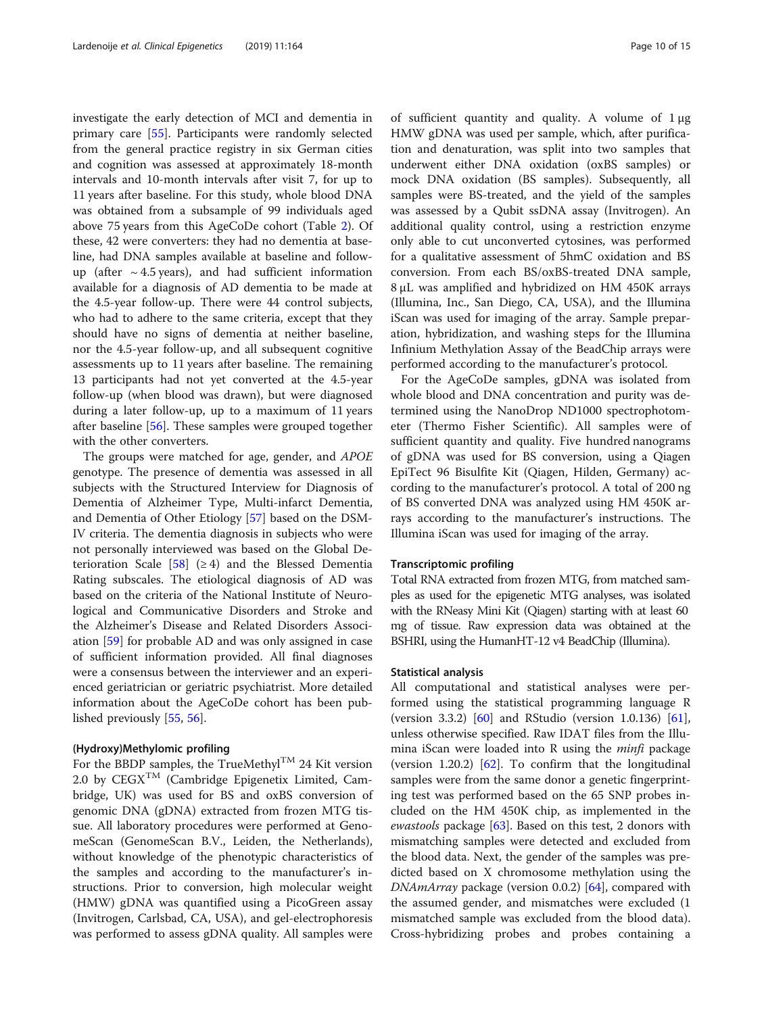investigate the early detection of MCI and dementia in primary care [\[55\]](#page-13-0). Participants were randomly selected from the general practice registry in six German cities and cognition was assessed at approximately 18-month intervals and 10-month intervals after visit 7, for up to 11 years after baseline. For this study, whole blood DNA was obtained from a subsample of 99 individuals aged above 75 years from this AgeCoDe cohort (Table [2\)](#page-3-0). Of these, 42 were converters: they had no dementia at baseline, had DNA samples available at baseline and followup (after  $\sim$  4.5 years), and had sufficient information available for a diagnosis of AD dementia to be made at the 4.5-year follow-up. There were 44 control subjects, who had to adhere to the same criteria, except that they should have no signs of dementia at neither baseline, nor the 4.5-year follow-up, and all subsequent cognitive assessments up to 11 years after baseline. The remaining 13 participants had not yet converted at the 4.5-year follow-up (when blood was drawn), but were diagnosed during a later follow-up, up to a maximum of 11 years after baseline [[56\]](#page-14-0). These samples were grouped together with the other converters.

The groups were matched for age, gender, and APOE genotype. The presence of dementia was assessed in all subjects with the Structured Interview for Diagnosis of Dementia of Alzheimer Type, Multi-infarct Dementia, and Dementia of Other Etiology [[57](#page-14-0)] based on the DSM-IV criteria. The dementia diagnosis in subjects who were not personally interviewed was based on the Global De-terioration Scale [[58](#page-14-0)] ( $\geq$  4) and the Blessed Dementia Rating subscales. The etiological diagnosis of AD was based on the criteria of the National Institute of Neurological and Communicative Disorders and Stroke and the Alzheimer's Disease and Related Disorders Association [\[59](#page-14-0)] for probable AD and was only assigned in case of sufficient information provided. All final diagnoses were a consensus between the interviewer and an experienced geriatrician or geriatric psychiatrist. More detailed information about the AgeCoDe cohort has been published previously [\[55,](#page-13-0) [56\]](#page-14-0).

#### (Hydroxy)Methylomic profiling

For the BBDP samples, the TrueMethyl<sup>TM</sup> 24 Kit version 2.0 by  $CEGX^{TM}$  (Cambridge Epigenetix Limited, Cambridge, UK) was used for BS and oxBS conversion of genomic DNA (gDNA) extracted from frozen MTG tissue. All laboratory procedures were performed at GenomeScan (GenomeScan B.V., Leiden, the Netherlands), without knowledge of the phenotypic characteristics of the samples and according to the manufacturer's instructions. Prior to conversion, high molecular weight (HMW) gDNA was quantified using a PicoGreen assay (Invitrogen, Carlsbad, CA, USA), and gel-electrophoresis was performed to assess gDNA quality. All samples were

of sufficient quantity and quality. A volume of 1 μg HMW gDNA was used per sample, which, after purification and denaturation, was split into two samples that underwent either DNA oxidation (oxBS samples) or mock DNA oxidation (BS samples). Subsequently, all samples were BS-treated, and the yield of the samples was assessed by a Qubit ssDNA assay (Invitrogen). An additional quality control, using a restriction enzyme only able to cut unconverted cytosines, was performed for a qualitative assessment of 5hmC oxidation and BS conversion. From each BS/oxBS-treated DNA sample, 8 μL was amplified and hybridized on HM 450K arrays (Illumina, Inc., San Diego, CA, USA), and the Illumina iScan was used for imaging of the array. Sample preparation, hybridization, and washing steps for the Illumina Infinium Methylation Assay of the BeadChip arrays were performed according to the manufacturer's protocol.

For the AgeCoDe samples, gDNA was isolated from whole blood and DNA concentration and purity was determined using the NanoDrop ND1000 spectrophotometer (Thermo Fisher Scientific). All samples were of sufficient quantity and quality. Five hundred nanograms of gDNA was used for BS conversion, using a Qiagen EpiTect 96 Bisulfite Kit (Qiagen, Hilden, Germany) according to the manufacturer's protocol. A total of 200 ng of BS converted DNA was analyzed using HM 450K arrays according to the manufacturer's instructions. The Illumina iScan was used for imaging of the array.

#### Transcriptomic profiling

Total RNA extracted from frozen MTG, from matched samples as used for the epigenetic MTG analyses, was isolated with the RNeasy Mini Kit (Qiagen) starting with at least 60 mg of tissue. Raw expression data was obtained at the BSHRI, using the HumanHT-12 v4 BeadChip (Illumina).

#### Statistical analysis

All computational and statistical analyses were performed using the statistical programming language R (version 3.3.2) [[60\]](#page-14-0) and RStudio (version 1.0.136) [\[61](#page-14-0)], unless otherwise specified. Raw IDAT files from the Illumina iScan were loaded into  $R$  using the *minfi* package (version 1.20.2) [\[62](#page-14-0)]. To confirm that the longitudinal samples were from the same donor a genetic fingerprinting test was performed based on the 65 SNP probes included on the HM 450K chip, as implemented in the *ewastools* package  $[63]$  $[63]$  $[63]$ . Based on this test, 2 donors with mismatching samples were detected and excluded from the blood data. Next, the gender of the samples was predicted based on X chromosome methylation using the DNAmArray package (version 0.0.2) [\[64\]](#page-14-0), compared with the assumed gender, and mismatches were excluded (1 mismatched sample was excluded from the blood data). Cross-hybridizing probes and probes containing a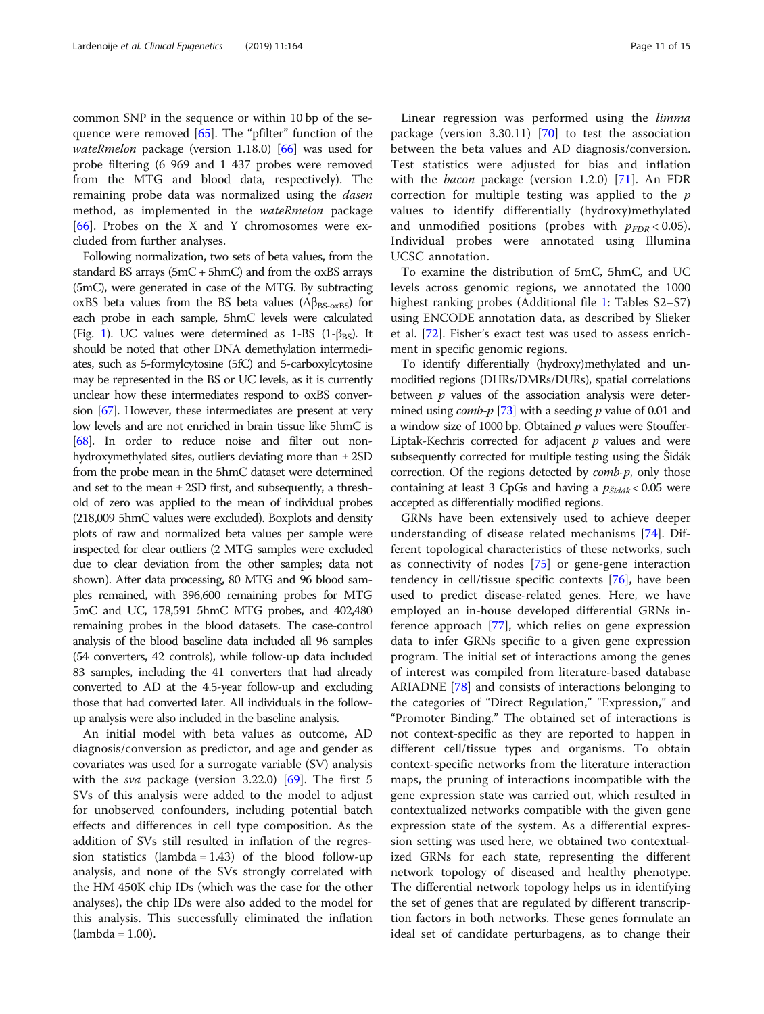common SNP in the sequence or within 10 bp of the sequence were removed [[65](#page-14-0)]. The "pfilter" function of the *wateRmelon* package (version 1.18.0)  $[66]$  was used for probe filtering (6 969 and 1 437 probes were removed from the MTG and blood data, respectively). The remaining probe data was normalized using the *dasen* method, as implemented in the wateRmelon package [[66\]](#page-14-0). Probes on the X and Y chromosomes were excluded from further analyses.

Following normalization, two sets of beta values, from the standard BS arrays  $(5mC + 5hmC)$  and from the oxBS arrays (5mC), were generated in case of the MTG. By subtracting oxBS beta values from the BS beta values ( $\Delta\beta_{BS\text{-oxBS}}$ ) for each probe in each sample, 5hmC levels were calculated (Fig. [1](#page-2-0)). UC values were determined as 1-BS (1- $\beta_{BS}$ ). It should be noted that other DNA demethylation intermediates, such as 5-formylcytosine (5fC) and 5-carboxylcytosine may be represented in the BS or UC levels, as it is currently unclear how these intermediates respond to oxBS conversion [\[67](#page-14-0)]. However, these intermediates are present at very low levels and are not enriched in brain tissue like 5hmC is [[68\]](#page-14-0). In order to reduce noise and filter out nonhydroxymethylated sites, outliers deviating more than ± 2SD from the probe mean in the 5hmC dataset were determined and set to the mean ± 2SD first, and subsequently, a threshold of zero was applied to the mean of individual probes (218,009 5hmC values were excluded). Boxplots and density plots of raw and normalized beta values per sample were inspected for clear outliers (2 MTG samples were excluded due to clear deviation from the other samples; data not shown). After data processing, 80 MTG and 96 blood samples remained, with 396,600 remaining probes for MTG 5mC and UC, 178,591 5hmC MTG probes, and 402,480 remaining probes in the blood datasets. The case-control analysis of the blood baseline data included all 96 samples (54 converters, 42 controls), while follow-up data included 83 samples, including the 41 converters that had already converted to AD at the 4.5-year follow-up and excluding those that had converted later. All individuals in the followup analysis were also included in the baseline analysis.

An initial model with beta values as outcome, AD diagnosis/conversion as predictor, and age and gender as covariates was used for a surrogate variable (SV) analysis with the *sva* package (version 3.22.0)  $[69]$ . The first 5 SVs of this analysis were added to the model to adjust for unobserved confounders, including potential batch effects and differences in cell type composition. As the addition of SVs still resulted in inflation of the regression statistics (lambda =  $1.43$ ) of the blood follow-up analysis, and none of the SVs strongly correlated with the HM 450K chip IDs (which was the case for the other analyses), the chip IDs were also added to the model for this analysis. This successfully eliminated the inflation (lambda = 1.00).

Linear regression was performed using the limma package (version 3.30.11)  $[70]$  $[70]$  to test the association between the beta values and AD diagnosis/conversion. Test statistics were adjusted for bias and inflation with the bacon package (version 1.2.0) [\[71](#page-14-0)]. An FDR correction for multiple testing was applied to the  $p$ values to identify differentially (hydroxy)methylated and unmodified positions (probes with  $p_{FDR}$  < 0.05). Individual probes were annotated using Illumina UCSC annotation.

To examine the distribution of 5mC, 5hmC, and UC levels across genomic regions, we annotated the 1000 highest ranking probes (Additional file [1:](#page-11-0) Tables S2–S7) using ENCODE annotation data, as described by Slieker et al. [\[72\]](#page-14-0). Fisher's exact test was used to assess enrichment in specific genomic regions.

To identify differentially (hydroxy)methylated and unmodified regions (DHRs/DMRs/DURs), spatial correlations between  $p$  values of the association analysis were determined using *comb-p* [\[73\]](#page-14-0) with a seeding  $p$  value of 0.01 and a window size of 1000 bp. Obtained  $p$  values were Stouffer-Liptak-Kechris corrected for adjacent  $p$  values and were subsequently corrected for multiple testing using the Šidák correction. Of the regions detected by *comb-p*, only those containing at least 3 CpGs and having a  $p_{\textit{Siddak}}$  < 0.05 were accepted as differentially modified regions.

GRNs have been extensively used to achieve deeper understanding of disease related mechanisms [[74\]](#page-14-0). Different topological characteristics of these networks, such as connectivity of nodes [[75\]](#page-14-0) or gene-gene interaction tendency in cell/tissue specific contexts [[76](#page-14-0)], have been used to predict disease-related genes. Here, we have employed an in-house developed differential GRNs inference approach [[77\]](#page-14-0), which relies on gene expression data to infer GRNs specific to a given gene expression program. The initial set of interactions among the genes of interest was compiled from literature-based database ARIADNE [[78](#page-14-0)] and consists of interactions belonging to the categories of "Direct Regulation," "Expression," and "Promoter Binding." The obtained set of interactions is not context-specific as they are reported to happen in different cell/tissue types and organisms. To obtain context-specific networks from the literature interaction maps, the pruning of interactions incompatible with the gene expression state was carried out, which resulted in contextualized networks compatible with the given gene expression state of the system. As a differential expression setting was used here, we obtained two contextualized GRNs for each state, representing the different network topology of diseased and healthy phenotype. The differential network topology helps us in identifying the set of genes that are regulated by different transcription factors in both networks. These genes formulate an ideal set of candidate perturbagens, as to change their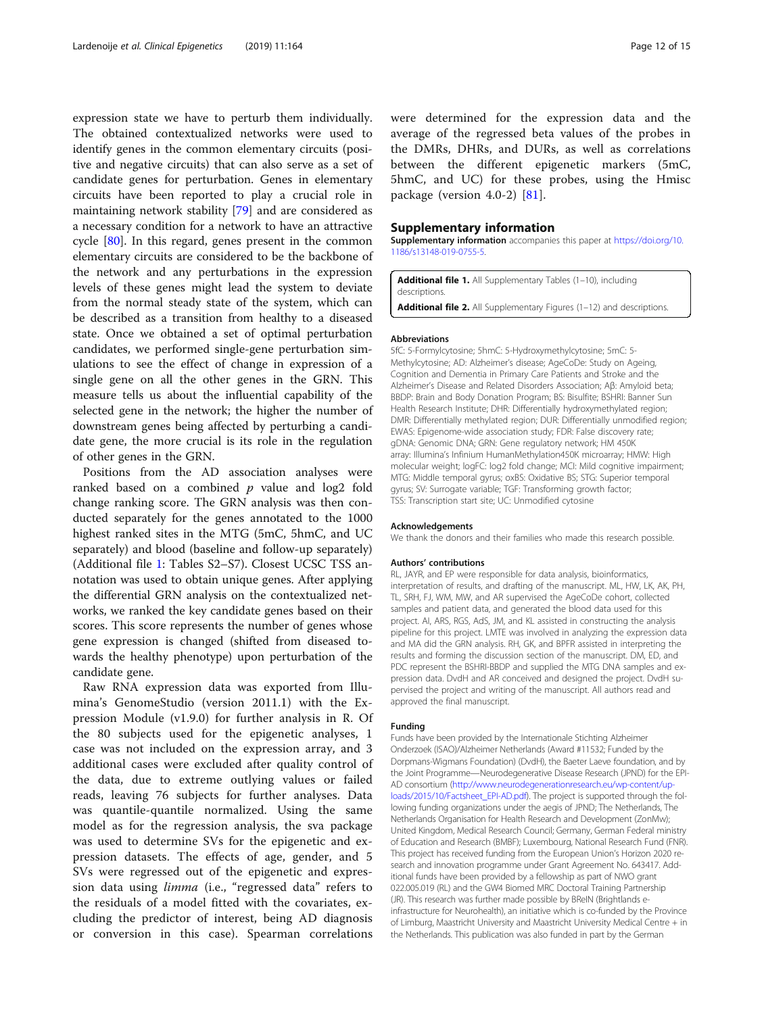<span id="page-11-0"></span>expression state we have to perturb them individually. The obtained contextualized networks were used to identify genes in the common elementary circuits (positive and negative circuits) that can also serve as a set of candidate genes for perturbation. Genes in elementary circuits have been reported to play a crucial role in maintaining network stability [\[79\]](#page-14-0) and are considered as a necessary condition for a network to have an attractive cycle [[80\]](#page-14-0). In this regard, genes present in the common elementary circuits are considered to be the backbone of the network and any perturbations in the expression levels of these genes might lead the system to deviate from the normal steady state of the system, which can be described as a transition from healthy to a diseased state. Once we obtained a set of optimal perturbation candidates, we performed single-gene perturbation simulations to see the effect of change in expression of a single gene on all the other genes in the GRN. This measure tells us about the influential capability of the selected gene in the network; the higher the number of downstream genes being affected by perturbing a candidate gene, the more crucial is its role in the regulation of other genes in the GRN.

Positions from the AD association analyses were ranked based on a combined  $p$  value and log2 fold change ranking score. The GRN analysis was then conducted separately for the genes annotated to the 1000 highest ranked sites in the MTG (5mC, 5hmC, and UC separately) and blood (baseline and follow-up separately) (Additional file 1: Tables S2–S7). Closest UCSC TSS annotation was used to obtain unique genes. After applying the differential GRN analysis on the contextualized networks, we ranked the key candidate genes based on their scores. This score represents the number of genes whose gene expression is changed (shifted from diseased towards the healthy phenotype) upon perturbation of the candidate gene.

Raw RNA expression data was exported from Illumina's GenomeStudio (version 2011.1) with the Expression Module (v1.9.0) for further analysis in R. Of the 80 subjects used for the epigenetic analyses, 1 case was not included on the expression array, and 3 additional cases were excluded after quality control of the data, due to extreme outlying values or failed reads, leaving 76 subjects for further analyses. Data was quantile-quantile normalized. Using the same model as for the regression analysis, the sva package was used to determine SVs for the epigenetic and expression datasets. The effects of age, gender, and 5 SVs were regressed out of the epigenetic and expression data using *limma* (i.e., "regressed data" refers to the residuals of a model fitted with the covariates, excluding the predictor of interest, being AD diagnosis or conversion in this case). Spearman correlations

were determined for the expression data and the average of the regressed beta values of the probes in the DMRs, DHRs, and DURs, as well as correlations between the different epigenetic markers (5mC, 5hmC, and UC) for these probes, using the Hmisc package (version 4.0-2) [\[81](#page-14-0)].

#### Supplementary information

Supplementary information accompanies this paper at [https://doi.org/10.](https://doi.org/10.1186/s13148-019-0755-5) [1186/s13148-019-0755-5.](https://doi.org/10.1186/s13148-019-0755-5)

Additional file 1. All Supplementary Tables (1-10), including descriptions. Additional file 2. All Supplementary Figures (1-12) and descriptions.

#### Abbreviations

5fC: 5-Formylcytosine; 5hmC: 5-Hydroxymethylcytosine; 5mC: 5- Methylcytosine; AD: Alzheimer's disease; AgeCoDe: Study on Ageing, Cognition and Dementia in Primary Care Patients and Stroke and the Alzheimer's Disease and Related Disorders Association; Aβ: Amyloid beta; BBDP: Brain and Body Donation Program; BS: Bisulfite; BSHRI: Banner Sun Health Research Institute; DHR: Differentially hydroxymethylated region; DMR: Differentially methylated region; DUR: Differentially unmodified region; EWAS: Epigenome-wide association study; FDR: False discovery rate; gDNA: Genomic DNA; GRN: Gene regulatory network; HM 450K array: Illumina's Infinium HumanMethylation450K microarray; HMW: High molecular weight; logFC: log2 fold change; MCI: Mild cognitive impairment; MTG: Middle temporal gyrus; oxBS: Oxidative BS; STG: Superior temporal gyrus; SV: Surrogate variable; TGF: Transforming growth factor; TSS: Transcription start site; UC: Unmodified cytosine

#### Acknowledgements

We thank the donors and their families who made this research possible.

#### Authors' contributions

RL, JAYR, and EP were responsible for data analysis, bioinformatics, interpretation of results, and drafting of the manuscript. ML, HW, LK, AK, PH, TL, SRH, FJ, WM, MW, and AR supervised the AgeCoDe cohort, collected samples and patient data, and generated the blood data used for this project. AI, ARS, RGS, AdS, JM, and KL assisted in constructing the analysis pipeline for this project. LMTE was involved in analyzing the expression data and MA did the GRN analysis. RH, GK, and BPFR assisted in interpreting the results and forming the discussion section of the manuscript. DM, ED, and PDC represent the BSHRI-BBDP and supplied the MTG DNA samples and expression data. DvdH and AR conceived and designed the project. DvdH supervised the project and writing of the manuscript. All authors read and approved the final manuscript.

#### Funding

Funds have been provided by the Internationale Stichting Alzheimer Onderzoek (ISAO)/Alzheimer Netherlands (Award #11532; Funded by the Dorpmans-Wigmans Foundation) (DvdH), the Baeter Laeve foundation, and by the Joint Programme—Neurodegenerative Disease Research (JPND) for the EPI-AD consortium ([http://www.neurodegenerationresearch.eu/wp-content/up](http://www.neurodegenerationresearch.eu/wp-content/uploads/2015/10/Factsheet_EPI-AD.pdf)[loads/2015/10/Factsheet\\_EPI-AD.pdf\)](http://www.neurodegenerationresearch.eu/wp-content/uploads/2015/10/Factsheet_EPI-AD.pdf). The project is supported through the following funding organizations under the aegis of JPND; The Netherlands, The Netherlands Organisation for Health Research and Development (ZonMw); United Kingdom, Medical Research Council; Germany, German Federal ministry of Education and Research (BMBF); Luxembourg, National Research Fund (FNR). This project has received funding from the European Union's Horizon 2020 research and innovation programme under Grant Agreement No. 643417. Additional funds have been provided by a fellowship as part of NWO grant 022.005.019 (RL) and the GW4 Biomed MRC Doctoral Training Partnership (JR). This research was further made possible by BReIN (Brightlands einfrastructure for Neurohealth), an initiative which is co-funded by the Province of Limburg, Maastricht University and Maastricht University Medical Centre + in the Netherlands. This publication was also funded in part by the German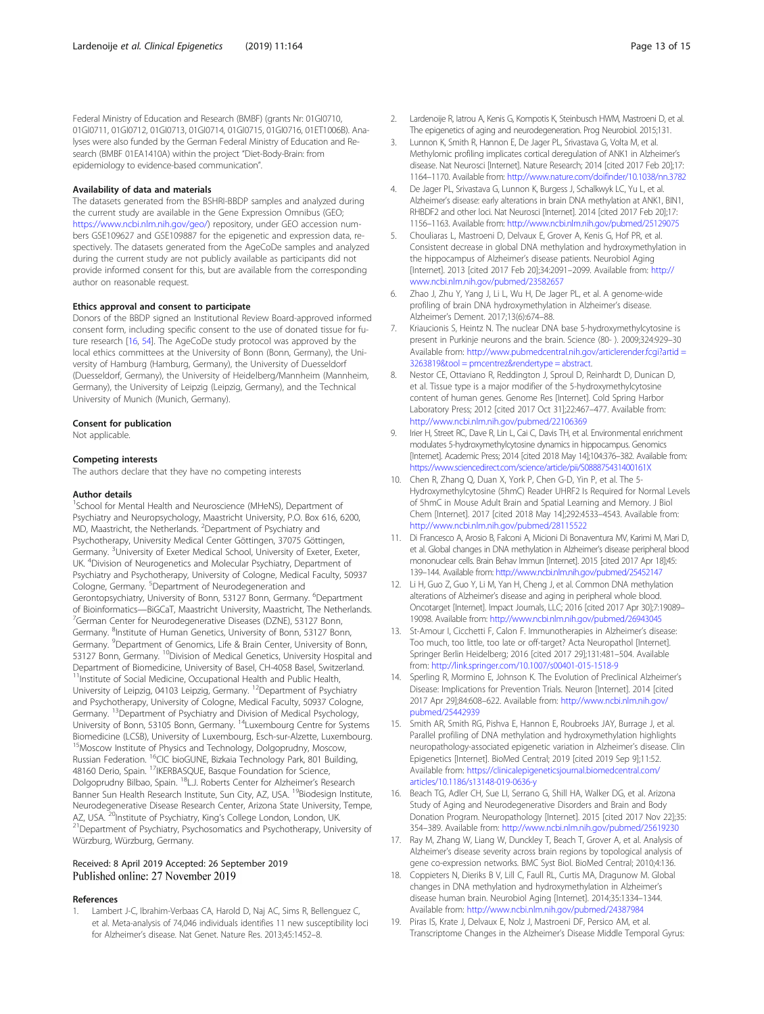<span id="page-12-0"></span>Federal Ministry of Education and Research (BMBF) (grants Nr: 01GI0710, 01GI0711, 01GI0712, 01GI0713, 01GI0714, 01GI0715, 01GI0716, 01ET1006B). Analyses were also funded by the German Federal Ministry of Education and Research (BMBF 01EA1410A) within the project "Diet-Body-Brain: from epidemiology to evidence-based communication".

#### Availability of data and materials

The datasets generated from the BSHRI-BBDP samples and analyzed during the current study are available in the Gene Expression Omnibus (GEO; [https://www.ncbi.nlm.nih.gov/geo/\)](https://www.ncbi.nlm.nih.gov/geo/) repository, under GEO accession numbers GSE109627 and GSE109887 for the epigenetic and expression data, respectively. The datasets generated from the AgeCoDe samples and analyzed during the current study are not publicly available as participants did not provide informed consent for this, but are available from the corresponding author on reasonable request.

#### Ethics approval and consent to participate

Donors of the BBDP signed an Institutional Review Board-approved informed consent form, including specific consent to the use of donated tissue for future research [16, [54\]](#page-13-0). The AgeCoDe study protocol was approved by the local ethics committees at the University of Bonn (Bonn, Germany), the University of Hamburg (Hamburg, Germany), the University of Duesseldorf (Duesseldorf, Germany), the University of Heidelberg/Mannheim (Mannheim, Germany), the University of Leipzig (Leipzig, Germany), and the Technical University of Munich (Munich, Germany).

#### Consent for publication

Not applicable.

#### Competing interests

The authors declare that they have no competing interests

#### Author details

<sup>1</sup>School for Mental Health and Neuroscience (MHeNS), Department of Psychiatry and Neuropsychology, Maastricht University, P.O. Box 616, 6200, MD, Maastricht, the Netherlands. <sup>2</sup>Department of Psychiatry and Psychotherapy, University Medical Center Göttingen, 37075 Göttingen, Germany. <sup>3</sup>University of Exeter Medical School, University of Exeter, Exeter, UK. <sup>4</sup> Division of Neurogenetics and Molecular Psychiatry, Department of Psychiatry and Psychotherapy, University of Cologne, Medical Faculty, 50937 Cologne, Germany. <sup>5</sup>Department of Neurodegeneration and Gerontopsychiatry, University of Bonn, 53127 Bonn, Germany. <sup>6</sup>Department of Bioinformatics—BiGCaT, Maastricht University, Maastricht, The Netherlands. <sup>7</sup> <sup>7</sup>German Center for Neurodegenerative Diseases (DZNE), 53127 Bonn, Germany. <sup>8</sup>Institute of Human Genetics, University of Bonn, 53127 Bonn, Germany. <sup>9</sup>Department of Genomics, Life & Brain Center, University of Bonn, 53127 Bonn, Germany. <sup>10</sup>Division of Medical Genetics, University Hospital and Department of Biomedicine, University of Basel, CH-4058 Basel, Switzerland. <sup>11</sup>Institute of Social Medicine, Occupational Health and Public Health, University of Leipzig, 04103 Leipzig, Germany. <sup>12</sup>Department of Psychiatry and Psychotherapy, University of Cologne, Medical Faculty, 50937 Cologne, Germany. 13Department of Psychiatry and Division of Medical Psychology, University of Bonn, 53105 Bonn, Germany. 14Luxembourg Centre for Systems Biomedicine (LCSB), University of Luxembourg, Esch-sur-Alzette, Luxembourg. 15Moscow Institute of Physics and Technology, Dolgoprudny, Moscow, Russian Federation. <sup>16</sup>CIC bioGUNE, Bizkaia Technology Park, 801 Building, 48160 Derio, Spain. 17IKERBASQUE, Basque Foundation for Science, Dolgoprudny Bilbao, Spain. 18L.J. Roberts Center for Alzheimer's Research Banner Sun Health Research Institute, Sun City, AZ, USA. <sup>19</sup>Biodesign Institute, Neurodegenerative Disease Research Center, Arizona State University, Tempe, AZ, USA. <sup>20</sup>Institute of Psychiatry, King's College London, London, UK. <sup>21</sup>Department of Psychiatry, Psychosomatics and Psychotherapy, University of Würzburg, Würzburg, Germany.

#### Received: 8 April 2019 Accepted: 26 September 2019 Published online: 27 November 2019

#### References

Lambert J-C, Ibrahim-Verbaas CA, Harold D, Naj AC, Sims R, Bellenguez C, et al. Meta-analysis of 74,046 individuals identifies 11 new susceptibility loci for Alzheimer's disease. Nat Genet. Nature Res. 2013;45:1452–8.

- 2. Lardenoije R, Iatrou A, Kenis G, Kompotis K, Steinbusch HWM, Mastroeni D, et al. The epigenetics of aging and neurodegeneration. Prog Neurobiol. 2015;131.
- 3. Lunnon K, Smith R, Hannon E, De Jager PL, Srivastava G, Volta M, et al. Methylomic profiling implicates cortical deregulation of ANK1 in Alzheimer's disease. Nat Neurosci [Internet]. Nature Research; 2014 [cited 2017 Feb 20];17: 1164–1170. Available from: <http://www.nature.com/doifinder/10.1038/nn.3782>
- 4. De Jager PL, Srivastava G, Lunnon K, Burgess J, Schalkwyk LC, Yu L, et al. Alzheimer's disease: early alterations in brain DNA methylation at ANK1, BIN1, RHBDF2 and other loci. Nat Neurosci [Internet]. 2014 [cited 2017 Feb 20];17: 1156–1163. Available from: <http://www.ncbi.nlm.nih.gov/pubmed/25129075>
- 5. Chouliaras L, Mastroeni D, Delvaux E, Grover A, Kenis G, Hof PR, et al. Consistent decrease in global DNA methylation and hydroxymethylation in the hippocampus of Alzheimer's disease patients. Neurobiol Aging [Internet]. 2013 [cited 2017 Feb 20];34:2091–2099. Available from: [http://](http://www.ncbi.nlm.nih.gov/pubmed/23582657) [www.ncbi.nlm.nih.gov/pubmed/23582657](http://www.ncbi.nlm.nih.gov/pubmed/23582657)
- Zhao J, Zhu Y, Yang J, Li L, Wu H, De Jager PL, et al. A genome-wide profiling of brain DNA hydroxymethylation in Alzheimer's disease. Alzheimer's Dement. 2017;13(6):674–88.
- 7. Kriaucionis S, Heintz N. The nuclear DNA base 5-hydroxymethylcytosine is present in Purkinje neurons and the brain. Science (80- ). 2009;324:929–30 Available from: [http://www.pubmedcentral.nih.gov/articlerender.fcgi?artid =](http://www.pubmedcentral.nih.gov/articlerender.fcgi?artid%E2%80%89=%E2%80%893263819&tool%E2%80%89=%E2%80%89pmcentrez&rendertype%E2%80%89=%E2%80%89abstract) [3263819&tool = pmcentrez&rendertype = abstract.](http://www.pubmedcentral.nih.gov/articlerender.fcgi?artid%E2%80%89=%E2%80%893263819&tool%E2%80%89=%E2%80%89pmcentrez&rendertype%E2%80%89=%E2%80%89abstract)
- 8. Nestor CE, Ottaviano R, Reddington J, Sproul D, Reinhardt D, Dunican D, et al. Tissue type is a major modifier of the 5-hydroxymethylcytosine content of human genes. Genome Res [Internet]. Cold Spring Harbor Laboratory Press; 2012 [cited 2017 Oct 31];22:467–477. Available from: <http://www.ncbi.nlm.nih.gov/pubmed/22106369>
- 9. Irier H, Street RC, Dave R, Lin L, Cai C, Davis TH, et al. Environmental enrichment modulates 5-hydroxymethylcytosine dynamics in hippocampus. Genomics [Internet]. Academic Press; 2014 [cited 2018 May 14];104:376–382. Available from: <https://www.sciencedirect.com/science/article/pii/S088875431400161X>
- 10. Chen R, Zhang Q, Duan X, York P, Chen G-D, Yin P, et al. The 5- Hydroxymethylcytosine (5hmC) Reader UHRF2 Is Required for Normal Levels of 5hmC in Mouse Adult Brain and Spatial Learning and Memory. J Biol Chem [Internet]. 2017 [cited 2018 May 14];292:4533–4543. Available from: <http://www.ncbi.nlm.nih.gov/pubmed/28115522>
- 11. Di Francesco A, Arosio B, Falconi A, Micioni Di Bonaventura MV, Karimi M, Mari D, et al. Global changes in DNA methylation in Alzheimer's disease peripheral blood mononuclear cells. Brain Behav Immun [Internet]. 2015 [cited 2017 Apr 18];45: 139–144. Available from: <http://www.ncbi.nlm.nih.gov/pubmed/25452147>
- 12. Li H, Guo Z, Guo Y, Li M, Yan H, Cheng J, et al. Common DNA methylation alterations of Alzheimer's disease and aging in peripheral whole blood. Oncotarget [Internet]. Impact Journals, LLC; 2016 [cited 2017 Apr 30];7:19089– 19098. Available from: <http://www.ncbi.nlm.nih.gov/pubmed/26943045>
- 13. St-Amour I, Cicchetti F, Calon F. Immunotherapies in Alzheimer's disease: Too much, too little, too late or off-target? Acta Neuropathol [Internet]. Springer Berlin Heidelberg; 2016 [cited 2017 29];131:481–504. Available from: <http://link.springer.com/10.1007/s00401-015-1518-9>
- 14. Sperling R, Mormino E, Johnson K. The Evolution of Preclinical Alzheimer's Disease: Implications for Prevention Trials. Neuron [Internet]. 2014 [cited 2017 Apr 29];84:608–622. Available from: [http://www.ncbi.nlm.nih.gov/](http://www.ncbi.nlm.nih.gov/pubmed/25442939) [pubmed/25442939](http://www.ncbi.nlm.nih.gov/pubmed/25442939)
- 15. Smith AR, Smith RG, Pishva E, Hannon E, Roubroeks JAY, Burrage J, et al. Parallel profiling of DNA methylation and hydroxymethylation highlights neuropathology-associated epigenetic variation in Alzheimer's disease. Clin Epigenetics [Internet]. BioMed Central; 2019 [cited 2019 Sep 9];11:52. Available from: [https://clinicalepigeneticsjournal.biomedcentral.com/](https://clinicalepigeneticsjournal.biomedcentral.com/articles/10.1186/s13148-019-0636-y) [articles/10.1186/s13148-019-0636-y](https://clinicalepigeneticsjournal.biomedcentral.com/articles/10.1186/s13148-019-0636-y)
- 16. Beach TG, Adler CH, Sue LI, Serrano G, Shill HA, Walker DG, et al. Arizona Study of Aging and Neurodegenerative Disorders and Brain and Body Donation Program. Neuropathology [Internet]. 2015 [cited 2017 Nov 22];35: 354–389. Available from: <http://www.ncbi.nlm.nih.gov/pubmed/25619230>
- 17. Ray M, Zhang W, Liang W, Dunckley T, Beach T, Grover A, et al. Analysis of Alzheimer's disease severity across brain regions by topological analysis of gene co-expression networks. BMC Syst Biol. BioMed Central; 2010;4:136.
- 18. Coppieters N, Dieriks B V, Lill C, Faull RL, Curtis MA, Dragunow M. Global changes in DNA methylation and hydroxymethylation in Alzheimer's disease human brain. Neurobiol Aging [Internet]. 2014;35:1334–1344. Available from: <http://www.ncbi.nlm.nih.gov/pubmed/24387984>
- 19. Piras IS, Krate J, Delvaux E, Nolz J, Mastroeni DF, Persico AM, et al. Transcriptome Changes in the Alzheimer's Disease Middle Temporal Gyrus: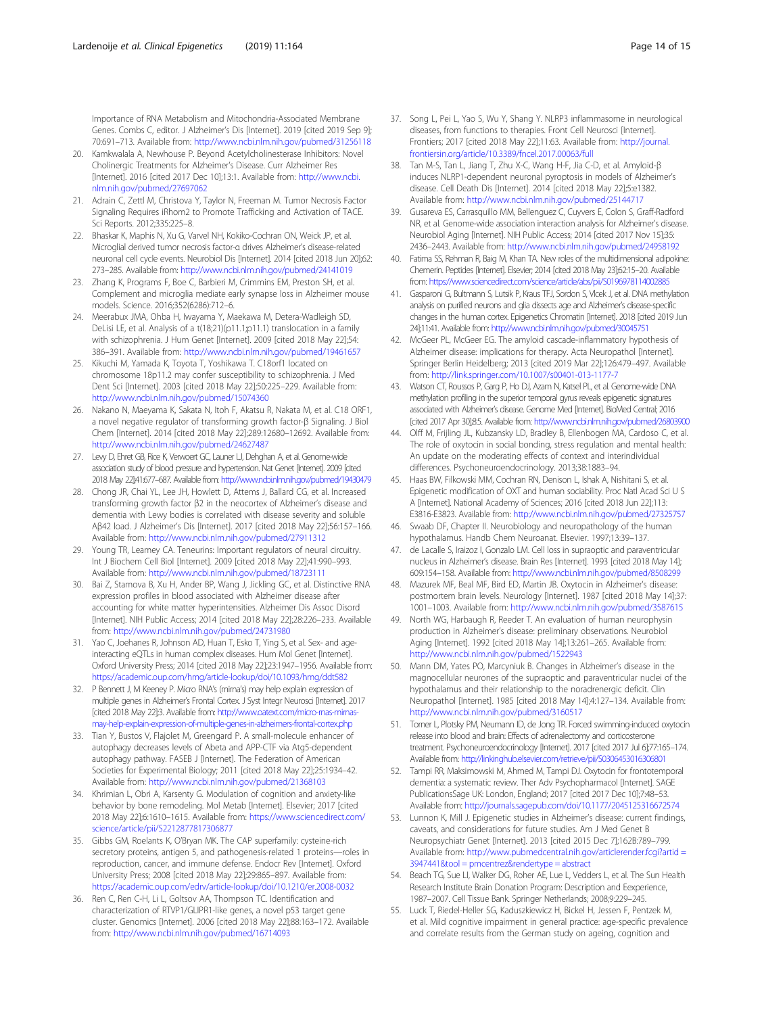<span id="page-13-0"></span>Importance of RNA Metabolism and Mitochondria-Associated Membrane Genes. Combs C, editor. J Alzheimer's Dis [Internet]. 2019 [cited 2019 Sep 9]; 70:691–713. Available from: <http://www.ncbi.nlm.nih.gov/pubmed/31256118>

- 20. Kamkwalala A, Newhouse P. Beyond Acetylcholinesterase Inhibitors: Novel Cholinergic Treatments for Alzheimer's Disease. Curr Alzheimer Res [Internet]. 2016 [cited 2017 Dec 10];13:1. Available from: [http://www.ncbi.](http://www.ncbi.nlm.nih.gov/pubmed/27697062) [nlm.nih.gov/pubmed/27697062](http://www.ncbi.nlm.nih.gov/pubmed/27697062)
- 21. Adrain C, Zettl M, Christova Y, Taylor N, Freeman M. Tumor Necrosis Factor Signaling Requires iRhom2 to Promote Trafficking and Activation of TACE. Sci Reports. 2012;335:225–8.
- 22. Bhaskar K, Maphis N, Xu G, Varvel NH, Kokiko-Cochran ON, Weick JP, et al. Microglial derived tumor necrosis factor-α drives Alzheimer's disease-related neuronal cell cycle events. Neurobiol Dis [Internet]. 2014 [cited 2018 Jun 20];62: 273–285. Available from: <http://www.ncbi.nlm.nih.gov/pubmed/24141019>
- 23. Zhang K, Programs F, Boe C, Barbieri M, Crimmins EM, Preston SH, et al. Complement and microglia mediate early synapse loss in Alzheimer mouse models. Science. 2016;352(6286):712–6.
- 24. Meerabux JMA, Ohba H, Iwayama Y, Maekawa M, Detera-Wadleigh SD, DeLisi LE, et al. Analysis of a t(18;21)(p11.1;p11.1) translocation in a family with schizophrenia. J Hum Genet [Internet]. 2009 [cited 2018 May 22];54: 386–391. Available from: <http://www.ncbi.nlm.nih.gov/pubmed/19461657>
- 25. Kikuchi M, Yamada K, Toyota T, Yoshikawa T. C18orf1 located on chromosome 18p11.2 may confer susceptibility to schizophrenia. J Med Dent Sci [Internet]. 2003 [cited 2018 May 22];50:225–229. Available from: <http://www.ncbi.nlm.nih.gov/pubmed/15074360>
- 26. Nakano N, Maeyama K, Sakata N, Itoh F, Akatsu R, Nakata M, et al. C18 ORF1, a novel negative regulator of transforming growth factor-β Signaling. J Biol Chem [Internet]. 2014 [cited 2018 May 22];289:12680–12692. Available from: <http://www.ncbi.nlm.nih.gov/pubmed/24627487>
- 27. Levy D, Ehret GB, Rice K, Verwoert GC, Launer LJ, Dehghan A, et al. Genome-wide association study of blood pressure and hypertension. Nat Genet [Internet]. 2009 [cited 2018 May 22];41:677–687. Available from: <http://www.ncbi.nlm.nih.gov/pubmed/19430479>
- 28. Chong JR, Chai YL, Lee JH, Howlett D, Attems J, Ballard CG, et al. Increased transforming growth factor β2 in the neocortex of Alzheimer's disease and dementia with Lewy bodies is correlated with disease severity and soluble Aβ42 load. J Alzheimer's Dis [Internet]. 2017 [cited 2018 May 22];56:157–166. Available from: <http://www.ncbi.nlm.nih.gov/pubmed/27911312>
- 29. Young TR, Leamey CA. Teneurins: Important regulators of neural circuitry. Int J Biochem Cell Biol [Internet]. 2009 [cited 2018 May 22];41:990–993. Available from: <http://www.ncbi.nlm.nih.gov/pubmed/18723111>
- 30. Bai Z, Stamova B, Xu H, Ander BP, Wang J, Jickling GC, et al. Distinctive RNA expression profiles in blood associated with Alzheimer disease after accounting for white matter hyperintensities. Alzheimer Dis Assoc Disord [Internet]. NIH Public Access; 2014 [cited 2018 May 22];28:226–233. Available from: <http://www.ncbi.nlm.nih.gov/pubmed/24731980>
- 31. Yao C, Joehanes R, Johnson AD, Huan T, Esko T, Ying S, et al. Sex- and ageinteracting eQTLs in human complex diseases. Hum Mol Genet [Internet]. Oxford University Press; 2014 [cited 2018 May 22];23:1947–1956. Available from: <https://academic.oup.com/hmg/article-lookup/doi/10.1093/hmg/ddt582>
- 32. P Bennett J, M Keeney P. Micro RNA's (mirna's) may help explain expression of multiple genes in Alzheimer's Frontal Cortex. J Syst Integr Neurosci [Internet]. 2017 [cited 2018 May 22];3. Available from: [http://www.oatext.com/micro-rnas-mirnas](http://www.oatext.com/micro-rnas-mirnas-may-help-explain-expression-of-multiple-genes-in-alzheimers-frontal-cortex.php)[may-help-explain-expression-of-multiple-genes-in-alzheimers-frontal-cortex.php](http://www.oatext.com/micro-rnas-mirnas-may-help-explain-expression-of-multiple-genes-in-alzheimers-frontal-cortex.php)
- 33. Tian Y, Bustos V, Flajolet M, Greengard P. A small-molecule enhancer of autophagy decreases levels of Abeta and APP-CTF via Atg5-dependent autophagy pathway. FASEB J [Internet]. The Federation of American Societies for Experimental Biology; 2011 [cited 2018 May 22];25:1934–42. Available from: <http://www.ncbi.nlm.nih.gov/pubmed/21368103>
- 34. Khrimian L, Obri A, Karsenty G. Modulation of cognition and anxiety-like behavior by bone remodeling. Mol Metab [Internet]. Elsevier; 2017 [cited 2018 May 22];6:1610–1615. Available from: [https://www.sciencedirect.com/](https://www.sciencedirect.com/science/article/pii/S2212877817306877) [science/article/pii/S2212877817306877](https://www.sciencedirect.com/science/article/pii/S2212877817306877)
- 35. Gibbs GM, Roelants K, O'Bryan MK. The CAP superfamily: cysteine-rich secretory proteins, antigen 5, and pathogenesis-related 1 proteins—roles in reproduction, cancer, and immune defense. Endocr Rev [Internet]. Oxford University Press; 2008 [cited 2018 May 22];29:865–897. Available from: <https://academic.oup.com/edrv/article-lookup/doi/10.1210/er.2008-0032>
- 36. Ren C, Ren C-H, Li L, Goltsov AA, Thompson TC. Identification and characterization of RTVP1/GLIPR1-like genes, a novel p53 target gene cluster. Genomics [Internet]. 2006 [cited 2018 May 22];88:163–172. Available from: <http://www.ncbi.nlm.nih.gov/pubmed/16714093>
- 37. Song L, Pei L, Yao S, Wu Y, Shang Y. NLRP3 inflammasome in neurological diseases, from functions to therapies. Front Cell Neurosci [Internet]. Frontiers; 2017 [cited 2018 May 22];11:63. Available from: [http://journal.](http://journal.frontiersin.org/article/10.3389/fncel.2017.00063/full) [frontiersin.org/article/10.3389/fncel.2017.00063/full](http://journal.frontiersin.org/article/10.3389/fncel.2017.00063/full)
- 38. Tan M-S, Tan L, Jiang T, Zhu X-C, Wang H-F, Jia C-D, et al. Amyloid-β induces NLRP1-dependent neuronal pyroptosis in models of Alzheimer's disease. Cell Death Dis [Internet]. 2014 [cited 2018 May 22];5:e1382. Available from: <http://www.ncbi.nlm.nih.gov/pubmed/25144717>
- 39. Gusareva ES, Carrasquillo MM, Bellenguez C, Cuyvers E, Colon S, Graff-Radford NR, et al. Genome-wide association interaction analysis for Alzheimer's disease. Neurobiol Aging [Internet]. NIH Public Access; 2014 [cited 2017 Nov 15];35: 2436–2443. Available from: <http://www.ncbi.nlm.nih.gov/pubmed/24958192>
- 40. Fatima SS, Rehman R, Baig M, Khan TA. New roles of the multidimensional adipokine: Chemerin. Peptides [Internet]. Elsevier; 2014 [cited 2018 May 23];62:15–20. Available from: <https://www.sciencedirect.com/science/article/abs/pii/S0196978114002885>
- 41. Gasparoni G, Bultmann S, Lutsik P, Kraus TFJ, Sordon S, Vlcek J, et al. DNA methylation analysis on purified neurons and glia dissects age and Alzheimer's disease-specific changes in the human cortex. Epigenetics Chromatin [Internet]. 2018 [cited 2019 Jun 24];11:41. Available from: <http://www.ncbi.nlm.nih.gov/pubmed/30045751>
- 42. McGeer PL, McGeer EG. The amyloid cascade-inflammatory hypothesis of Alzheimer disease: implications for therapy. Acta Neuropathol [Internet]. Springer Berlin Heidelberg; 2013 [cited 2019 Mar 22];126:479–497. Available from: <http://link.springer.com/10.1007/s00401-013-1177-7>
- 43. Watson CT, Roussos P, Garg P, Ho DJ, Azam N, Katsel PL, et al. Genome-wide DNA methylation profiling in the superior temporal gyrus reveals epigenetic signatures associated with Alzheimer's disease. Genome Med [Internet]. BioMed Central; 2016 [cited 2017 Apr 30];8:5. Available from: <http://www.ncbi.nlm.nih.gov/pubmed/26803900>
- 44. Olff M, Frijling JL, Kubzansky LD, Bradley B, Ellenbogen MA, Cardoso C, et al. The role of oxytocin in social bonding, stress regulation and mental health: An update on the moderating effects of context and interindividual differences. Psychoneuroendocrinology. 2013;38:1883–94.
- 45. Haas BW, Filkowski MM, Cochran RN, Denison L, Ishak A, Nishitani S, et al. Epigenetic modification of OXT and human sociability. Proc Natl Acad Sci U S A [Internet]. National Academy of Sciences; 2016 [cited 2018 Jun 22];113: E3816-E3823. Available from: <http://www.ncbi.nlm.nih.gov/pubmed/27325757>
- Swaab DF, Chapter II. Neurobiology and neuropathology of the human hypothalamus. Handb Chem Neuroanat. Elsevier. 1997;13:39–137.
- 47. de Lacalle S, Iraizoz I, Gonzalo LM. Cell loss in supraoptic and paraventricular nucleus in Alzheimer's disease. Brain Res [Internet]. 1993 [cited 2018 May 14]; 609:154–158. Available from: <http://www.ncbi.nlm.nih.gov/pubmed/8508299>
- 48. Mazurek MF, Beal MF, Bird ED, Martin JB. Oxytocin in Alzheimer's disease: postmortem brain levels. Neurology [Internet]. 1987 [cited 2018 May 14];37: 1001–1003. Available from: <http://www.ncbi.nlm.nih.gov/pubmed/3587615>
- 49. North WG, Harbaugh R, Reeder T. An evaluation of human neurophysin production in Alzheimer's disease: preliminary observations. Neurobiol Aging [Internet]. 1992 [cited 2018 May 14];13:261–265. Available from: <http://www.ncbi.nlm.nih.gov/pubmed/1522943>
- 50. Mann DM, Yates PO, Marcyniuk B. Changes in Alzheimer's disease in the magnocellular neurones of the supraoptic and paraventricular nuclei of the hypothalamus and their relationship to the noradrenergic deficit. Clin Neuropathol [Internet]. 1985 [cited 2018 May 14];4:127–134. Available from: <http://www.ncbi.nlm.nih.gov/pubmed/3160517>
- 51. Torner L, Plotsky PM, Neumann ID, de Jong TR. Forced swimming-induced oxytocin release into blood and brain: Effects of adrenalectomy and corticosterone treatment. Psychoneuroendocrinology [Internet]. 2017 [cited 2017 Jul 6];77:165–174. Available from: <http://linkinghub.elsevier.com/retrieve/pii/S0306453016306801>
- 52. Tampi RR, Maksimowski M, Ahmed M, Tampi DJ. Oxytocin for frontotemporal dementia: a systematic review. Ther Adv Psychopharmacol [Internet]. SAGE PublicationsSage UK: London, England; 2017 [cited 2017 Dec 10];7:48–53. Available from: <http://journals.sagepub.com/doi/10.1177/2045125316672574>
- 53. Lunnon K, Mill J. Epigenetic studies in Alzheimer's disease: current findings, caveats, and considerations for future studies. Am J Med Genet B Neuropsychiatr Genet [Internet]. 2013 [cited 2015 Dec 7];162B:789–799. Available from: [http://www.pubmedcentral.nih.gov/articlerender.fcgi?artid =](http://www.pubmedcentral.nih.gov/articlerender.fcgi?artid%E2%80%89=%E2%80%893947441&tool%E2%80%89=%E2%80%89pmcentrez&rendertype%E2%80%89=%E2%80%89abstract) [3947441&tool = pmcentrez&rendertype = abstract](http://www.pubmedcentral.nih.gov/articlerender.fcgi?artid%E2%80%89=%E2%80%893947441&tool%E2%80%89=%E2%80%89pmcentrez&rendertype%E2%80%89=%E2%80%89abstract)
- 54. Beach TG, Sue LI, Walker DG, Roher AE, Lue L, Vedders L, et al. The Sun Health Research Institute Brain Donation Program: Description and Eexperience, 1987–2007. Cell Tissue Bank. Springer Netherlands; 2008;9:229–245.
- 55. Luck T, Riedel-Heller SG, Kaduszkiewicz H, Bickel H, Jessen F, Pentzek M, et al. Mild cognitive impairment in general practice: age-specific prevalence and correlate results from the German study on ageing, cognition and